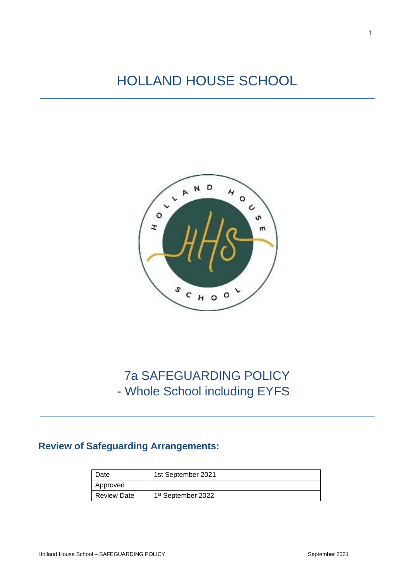

# 7a SAFEGUARDING POLICY - Whole School including EYFS

## **Review of Safeguarding Arrangements:**

| Date               | 1st September 2021             |
|--------------------|--------------------------------|
| Approved           |                                |
| <b>Review Date</b> | 1 <sup>st</sup> September 2022 |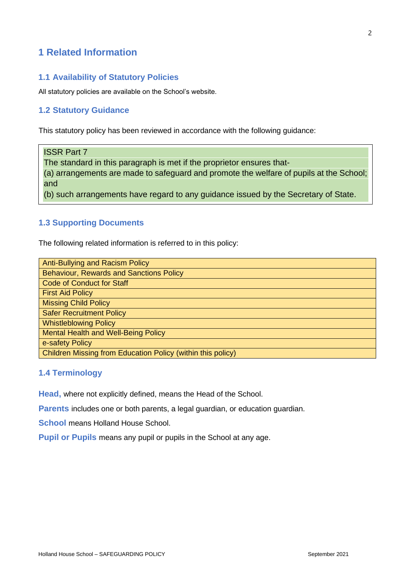## **1 Related Information**

### **1.1 Availability of Statutory Policies**

All statutory policies are available on the School's website.

#### **1.2 Statutory Guidance**

This statutory policy has been reviewed in accordance with the following guidance:

ISSR Part 7 The standard in this paragraph is met if the proprietor ensures that- (a) arrangements are made to safeguard and promote the welfare of pupils at the School; and (b) such arrangements have regard to any guidance issued by the Secretary of State.

#### **1.3 Supporting Documents**

The following related information is referred to in this policy:

| Anti-Bullying and Racism Policy                             |  |
|-------------------------------------------------------------|--|
| Behaviour, Rewards and Sanctions Policy                     |  |
| <b>Code of Conduct for Staff</b>                            |  |
| <b>First Aid Policy</b>                                     |  |
| <b>Missing Child Policy</b>                                 |  |
| <b>Safer Recruitment Policy</b>                             |  |
| <b>Whistleblowing Policy</b>                                |  |
| <b>Mental Health and Well-Being Policy</b>                  |  |
| e-safety Policy                                             |  |
| Children Missing from Education Policy (within this policy) |  |

#### **1.4 Terminology**

**Head,** where not explicitly defined, means the Head of the School.

**Parents** includes one or both parents, a legal guardian, or education guardian.

**School means Holland House School.** 

**Pupil or Pupils** means any pupil or pupils in the School at any age.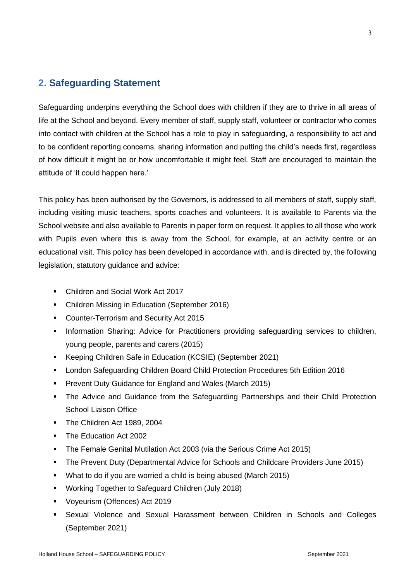## **2. Safeguarding Statement**

Safeguarding underpins everything the School does with children if they are to thrive in all areas of life at the School and beyond. Every member of staff, supply staff, volunteer or contractor who comes into contact with children at the School has a role to play in safeguarding, a responsibility to act and to be confident reporting concerns, sharing information and putting the child's needs first, regardless of how difficult it might be or how uncomfortable it might feel. Staff are encouraged to maintain the attitude of 'it could happen here.'

This policy has been authorised by the Governors, is addressed to all members of staff, supply staff, including visiting music teachers, sports coaches and volunteers. It is available to Parents via the School website and also available to Parents in paper form on request. It applies to all those who work with Pupils even where this is away from the School, for example, at an activity centre or an educational visit. This policy has been developed in accordance with, and is directed by, the following legislation, statutory guidance and advice:

- Children and Social Work Act 2017
- Children Missing in Education (September 2016)
- Counter-Terrorism and Security Act 2015
- **•** Information Sharing: Advice for Practitioners providing safeguarding services to children, young people, parents and carers (2015)
- Keeping Children Safe in Education (KCSIE) (September 2021)
- London Safeguarding Children Board Child Protection Procedures 5th Edition 2016
- Prevent Duty Guidance for England and Wales (March 2015)
- **The Advice and Guidance from the Safeguarding Partnerships and their Child Protection** School Liaison Office
- **The Children Act 1989, 2004**
- The Education Act 2002
- The Female Genital Mutilation Act 2003 (via the Serious Crime Act 2015)
- The Prevent Duty (Departmental Advice for Schools and Childcare Providers June 2015)
- What to do if you are worried a child is being abused (March 2015)
- Working Together to Safeguard Children (July 2018)
- Voyeurism (Offences) Act 2019
- Sexual Violence and Sexual Harassment between Children in Schools and Colleges (September 2021)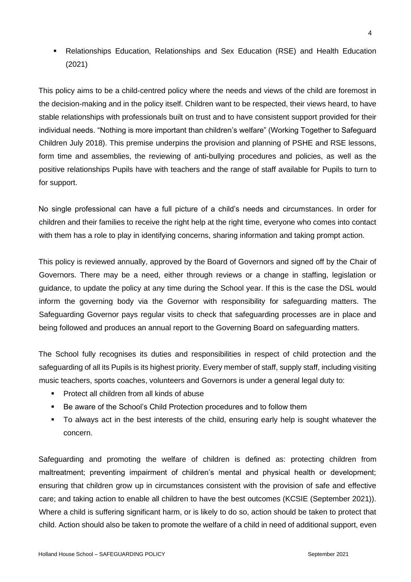Relationships Education, Relationships and Sex Education (RSE) and Health Education (2021)

This policy aims to be a child-centred policy where the needs and views of the child are foremost in the decision-making and in the policy itself. Children want to be respected, their views heard, to have stable relationships with professionals built on trust and to have consistent support provided for their individual needs. "Nothing is more important than children's welfare" (Working Together to Safeguard Children July 2018). This premise underpins the provision and planning of PSHE and RSE lessons, form time and assemblies, the reviewing of anti-bullying procedures and policies, as well as the positive relationships Pupils have with teachers and the range of staff available for Pupils to turn to for support.

No single professional can have a full picture of a child's needs and circumstances. In order for children and their families to receive the right help at the right time, everyone who comes into contact with them has a role to play in identifying concerns, sharing information and taking prompt action.

This policy is reviewed annually, approved by the Board of Governors and signed off by the Chair of Governors. There may be a need, either through reviews or a change in staffing, legislation or guidance, to update the policy at any time during the School year. If this is the case the DSL would inform the governing body via the Governor with responsibility for safeguarding matters. The Safeguarding Governor pays regular visits to check that safeguarding processes are in place and being followed and produces an annual report to the Governing Board on safeguarding matters.

The School fully recognises its duties and responsibilities in respect of child protection and the safeguarding of all its Pupils is its highest priority. Every member of staff, supply staff, including visiting music teachers, sports coaches, volunteers and Governors is under a general legal duty to:

- Protect all children from all kinds of abuse
- Be aware of the School's Child Protection procedures and to follow them
- To always act in the best interests of the child, ensuring early help is sought whatever the concern.

Safeguarding and promoting the welfare of children is defined as: protecting children from maltreatment; preventing impairment of children's mental and physical health or development; ensuring that children grow up in circumstances consistent with the provision of safe and effective care; and taking action to enable all children to have the best outcomes (KCSIE (September 2021)). Where a child is suffering significant harm, or is likely to do so, action should be taken to protect that child. Action should also be taken to promote the welfare of a child in need of additional support, even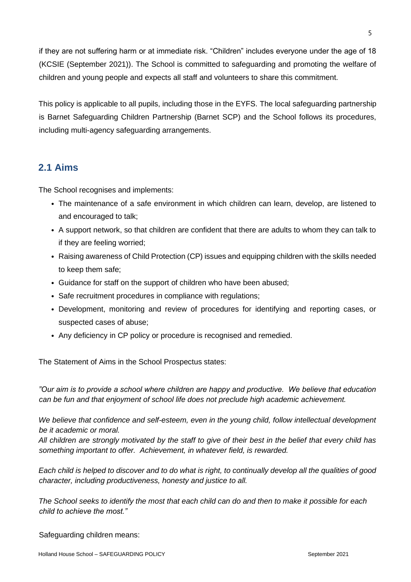if they are not suffering harm or at immediate risk. "Children" includes everyone under the age of 18 (KCSIE (September 2021)). The School is committed to safeguarding and promoting the welfare of children and young people and expects all staff and volunteers to share this commitment.

This policy is applicable to all pupils, including those in the EYFS. The local safeguarding partnership is Barnet Safeguarding Children Partnership (Barnet SCP) and the School follows its procedures, including multi-agency safeguarding arrangements.

## **2.1 Aims**

The School recognises and implements:

- The maintenance of a safe environment in which children can learn, develop, are listened to and encouraged to talk;
- A support network, so that children are confident that there are adults to whom they can talk to if they are feeling worried;
- Raising awareness of Child Protection (CP) issues and equipping children with the skills needed to keep them safe;
- Guidance for staff on the support of children who have been abused;
- Safe recruitment procedures in compliance with regulations;
- Development, monitoring and review of procedures for identifying and reporting cases, or suspected cases of abuse;
- Any deficiency in CP policy or procedure is recognised and remedied.

The Statement of Aims in the School Prospectus states:

*"Our aim is to provide a school where children are happy and productive. We believe that education can be fun and that enjoyment of school life does not preclude high academic achievement.* 

*We believe that confidence and self-esteem, even in the young child, follow intellectual development be it academic or moral.* 

*All children are strongly motivated by the staff to give of their best in the belief that every child has something important to offer. Achievement, in whatever field, is rewarded.* 

*Each child is helped to discover and to do what is right, to continually develop all the qualities of good character, including productiveness, honesty and justice to all.* 

*The School seeks to identify the most that each child can do and then to make it possible for each child to achieve the most."* 

Safeguarding children means: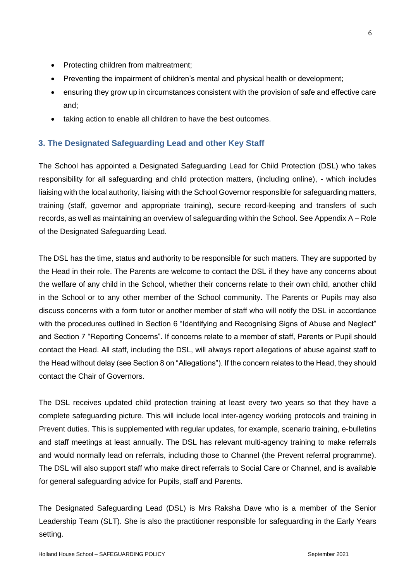- Protecting children from maltreatment;
- Preventing the impairment of children's mental and physical health or development;
- ensuring they grow up in circumstances consistent with the provision of safe and effective care and;
- taking action to enable all children to have the best outcomes.

## **3. The Designated Safeguarding Lead and other Key Staff**

The School has appointed a Designated Safeguarding Lead for Child Protection (DSL) who takes responsibility for all safeguarding and child protection matters, (including online), - which includes liaising with the local authority, liaising with the School Governor responsible for safeguarding matters, training (staff, governor and appropriate training), secure record-keeping and transfers of such records, as well as maintaining an overview of safeguarding within the School. See Appendix A – Role of the Designated Safeguarding Lead.

The DSL has the time, status and authority to be responsible for such matters. They are supported by the Head in their role. The Parents are welcome to contact the DSL if they have any concerns about the welfare of any child in the School, whether their concerns relate to their own child, another child in the School or to any other member of the School community. The Parents or Pupils may also discuss concerns with a form tutor or another member of staff who will notify the DSL in accordance with the procedures outlined in Section 6 "Identifying and Recognising Signs of Abuse and Neglect" and Section 7 "Reporting Concerns". If concerns relate to a member of staff, Parents or Pupil should contact the Head. All staff, including the DSL, will always report allegations of abuse against staff to the Head without delay (see Section 8 on "Allegations"). If the concern relates to the Head, they should contact the Chair of Governors.

The DSL receives updated child protection training at least every two years so that they have a complete safeguarding picture. This will include local inter-agency working protocols and training in Prevent duties. This is supplemented with regular updates, for example, scenario training, e-bulletins and staff meetings at least annually. The DSL has relevant multi-agency training to make referrals and would normally lead on referrals, including those to Channel (the Prevent referral programme). The DSL will also support staff who make direct referrals to Social Care or Channel, and is available for general safeguarding advice for Pupils, staff and Parents.

The Designated Safeguarding Lead (DSL) is Mrs Raksha Dave who is a member of the Senior Leadership Team (SLT). She is also the practitioner responsible for safeguarding in the Early Years setting.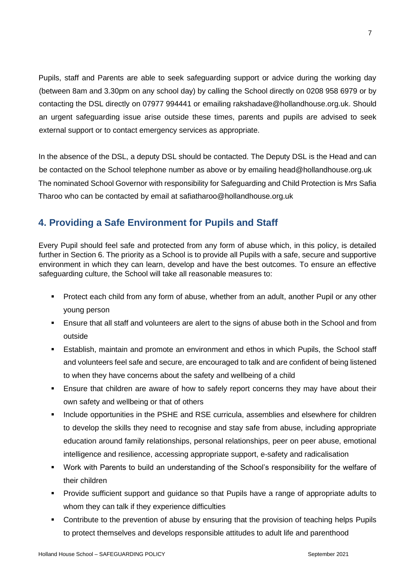Pupils, staff and Parents are able to seek safeguarding support or advice during the working day (between 8am and 3.30pm on any school day) by calling the School directly on 0208 958 6979 or by contacting the DSL directly on 07977 994441 or emailing rakshadave@hollandhouse.org.uk. Should an urgent safeguarding issue arise outside these times, parents and pupils are advised to seek external support or to contact emergency services as appropriate.

In the absence of the DSL, a deputy DSL should be contacted. The Deputy DSL is the Head and can be contacted on the School telephone number as above or by emailing head@hollandhouse.org.uk The nominated School Governor with responsibility for Safeguarding and Child Protection is Mrs Safia Tharoo who can be contacted by email at safiatharoo@hollandhouse.org.uk

## **4. Providing a Safe Environment for Pupils and Staff**

Every Pupil should feel safe and protected from any form of abuse which, in this policy, is detailed further in Section 6. The priority as a School is to provide all Pupils with a safe, secure and supportive environment in which they can learn, develop and have the best outcomes. To ensure an effective safeguarding culture, the School will take all reasonable measures to:

- Protect each child from any form of abuse, whether from an adult, another Pupil or any other young person
- **E** Ensure that all staff and volunteers are alert to the signs of abuse both in the School and from outside
- **Establish, maintain and promote an environment and ethos in which Pupils, the School staff** and volunteers feel safe and secure, are encouraged to talk and are confident of being listened to when they have concerns about the safety and wellbeing of a child
- **Ensure that children are aware of how to safely report concerns they may have about their** own safety and wellbeing or that of others
- **•** Include opportunities in the PSHE and RSE curricula, assemblies and elsewhere for children to develop the skills they need to recognise and stay safe from abuse, including appropriate education around family relationships, personal relationships, peer on peer abuse, emotional intelligence and resilience, accessing appropriate support, e-safety and radicalisation
- Work with Parents to build an understanding of the School's responsibility for the welfare of their children
- Provide sufficient support and guidance so that Pupils have a range of appropriate adults to whom they can talk if they experience difficulties
- Contribute to the prevention of abuse by ensuring that the provision of teaching helps Pupils to protect themselves and develops responsible attitudes to adult life and parenthood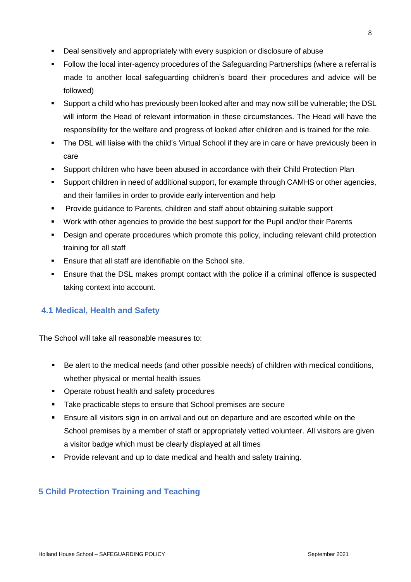- Deal sensitively and appropriately with every suspicion or disclosure of abuse
- Follow the local inter-agency procedures of the Safeguarding Partnerships (where a referral is made to another local safeguarding children's board their procedures and advice will be followed)
- Support a child who has previously been looked after and may now still be vulnerable; the DSL will inform the Head of relevant information in these circumstances. The Head will have the responsibility for the welfare and progress of looked after children and is trained for the role.
- **•** The DSL will liaise with the child's Virtual School if they are in care or have previously been in care
- **E** Support children who have been abused in accordance with their Child Protection Plan
- Support children in need of additional support, for example through CAMHS or other agencies, and their families in order to provide early intervention and help
- Provide guidance to Parents, children and staff about obtaining suitable support
- Work with other agencies to provide the best support for the Pupil and/or their Parents
- **•** Design and operate procedures which promote this policy, including relevant child protection training for all staff
- Ensure that all staff are identifiable on the School site.
- **Ensure that the DSL makes prompt contact with the police if a criminal offence is suspected** taking context into account.

## **4.1 Medical, Health and Safety**

The School will take all reasonable measures to:

- Be alert to the medical needs (and other possible needs) of children with medical conditions, whether physical or mental health issues
- Operate robust health and safety procedures
- Take practicable steps to ensure that School premises are secure
- Ensure all visitors sign in on arrival and out on departure and are escorted while on the School premises by a member of staff or appropriately vetted volunteer. All visitors are given a visitor badge which must be clearly displayed at all times
- Provide relevant and up to date medical and health and safety training.

## **5 Child Protection Training and Teaching**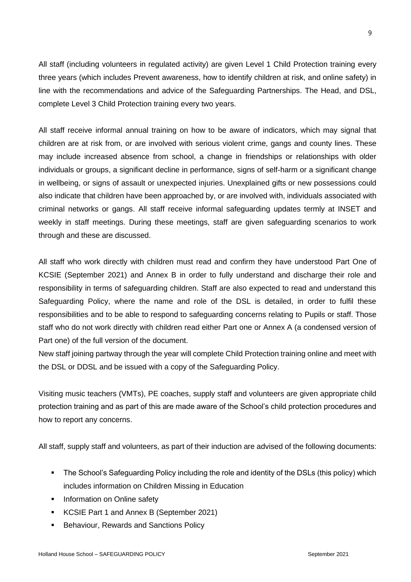All staff (including volunteers in regulated activity) are given Level 1 Child Protection training every three years (which includes Prevent awareness, how to identify children at risk, and online safety) in line with the recommendations and advice of the Safeguarding Partnerships. The Head, and DSL, complete Level 3 Child Protection training every two years.

All staff receive informal annual training on how to be aware of indicators, which may signal that children are at risk from, or are involved with serious violent crime, gangs and county lines. These may include increased absence from school, a change in friendships or relationships with older individuals or groups, a significant decline in performance, signs of self-harm or a significant change in wellbeing, or signs of assault or unexpected injuries. Unexplained gifts or new possessions could also indicate that children have been approached by, or are involved with, individuals associated with criminal networks or gangs. All staff receive informal safeguarding updates termly at INSET and weekly in staff meetings. During these meetings, staff are given safeguarding scenarios to work through and these are discussed.

All staff who work directly with children must read and confirm they have understood Part One of KCSIE (September 2021) and Annex B in order to fully understand and discharge their role and responsibility in terms of safeguarding children. Staff are also expected to read and understand this Safeguarding Policy, where the name and role of the DSL is detailed, in order to fulfil these responsibilities and to be able to respond to safeguarding concerns relating to Pupils or staff. Those staff who do not work directly with children read either Part one or Annex A (a condensed version of Part one) of the full version of the document.

New staff joining partway through the year will complete Child Protection training online and meet with the DSL or DDSL and be issued with a copy of the Safeguarding Policy.

Visiting music teachers (VMTs), PE coaches, supply staff and volunteers are given appropriate child protection training and as part of this are made aware of the School's child protection procedures and how to report any concerns.

All staff, supply staff and volunteers, as part of their induction are advised of the following documents:

- The School's Safeguarding Policy including the role and identity of the DSLs (this policy) which includes information on Children Missing in Education
- **·** Information on Online safety
- KCSIE Part 1 and Annex B (September 2021)
- Behaviour, Rewards and Sanctions Policy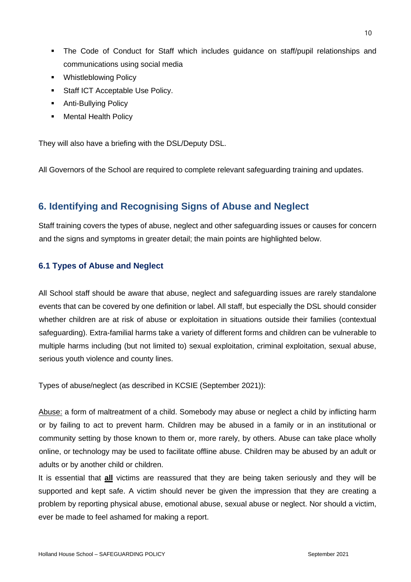- The Code of Conduct for Staff which includes guidance on staff/pupil relationships and communications using social media
- Whistleblowing Policy
- Staff ICT Acceptable Use Policy.
- Anti-Bullying Policy
- Mental Health Policy

They will also have a briefing with the DSL/Deputy DSL.

All Governors of the School are required to complete relevant safeguarding training and updates.

## **6. Identifying and Recognising Signs of Abuse and Neglect**

Staff training covers the types of abuse, neglect and other safeguarding issues or causes for concern and the signs and symptoms in greater detail; the main points are highlighted below.

## **6.1 Types of Abuse and Neglect**

All School staff should be aware that abuse, neglect and safeguarding issues are rarely standalone events that can be covered by one definition or label. All staff, but especially the DSL should consider whether children are at risk of abuse or exploitation in situations outside their families (contextual safeguarding). Extra-familial harms take a variety of different forms and children can be vulnerable to multiple harms including (but not limited to) sexual exploitation, criminal exploitation, sexual abuse, serious youth violence and county lines.

Types of abuse/neglect (as described in KCSIE (September 2021)):

Abuse: a form of maltreatment of a child. Somebody may abuse or neglect a child by inflicting harm or by failing to act to prevent harm. Children may be abused in a family or in an institutional or community setting by those known to them or, more rarely, by others. Abuse can take place wholly online, or technology may be used to facilitate offline abuse. Children may be abused by an adult or adults or by another child or children.

It is essential that **all** victims are reassured that they are being taken seriously and they will be supported and kept safe. A victim should never be given the impression that they are creating a problem by reporting physical abuse, emotional abuse, sexual abuse or neglect. Nor should a victim, ever be made to feel ashamed for making a report.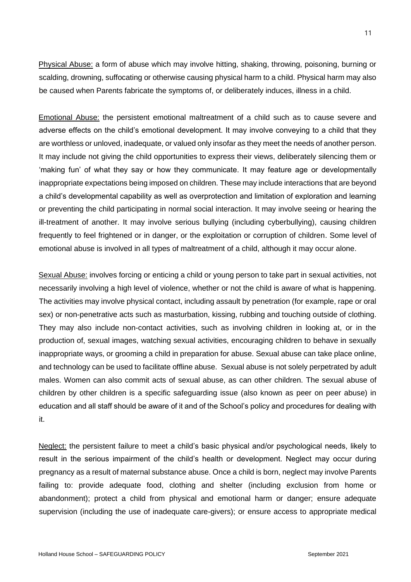Physical Abuse: a form of abuse which may involve hitting, shaking, throwing, poisoning, burning or scalding, drowning, suffocating or otherwise causing physical harm to a child. Physical harm may also be caused when Parents fabricate the symptoms of, or deliberately induces, illness in a child.

Emotional Abuse: the persistent emotional maltreatment of a child such as to cause severe and adverse effects on the child's emotional development. It may involve conveying to a child that they are worthless or unloved, inadequate, or valued only insofar as they meet the needs of another person. It may include not giving the child opportunities to express their views, deliberately silencing them or 'making fun' of what they say or how they communicate. It may feature age or developmentally inappropriate expectations being imposed on children. These may include interactions that are beyond a child's developmental capability as well as overprotection and limitation of exploration and learning or preventing the child participating in normal social interaction. It may involve seeing or hearing the ill-treatment of another. It may involve serious bullying (including cyberbullying), causing children frequently to feel frightened or in danger, or the exploitation or corruption of children. Some level of emotional abuse is involved in all types of maltreatment of a child, although it may occur alone.

Sexual Abuse: involves forcing or enticing a child or young person to take part in sexual activities, not necessarily involving a high level of violence, whether or not the child is aware of what is happening. The activities may involve physical contact, including assault by penetration (for example, rape or oral sex) or non-penetrative acts such as masturbation, kissing, rubbing and touching outside of clothing. They may also include non-contact activities, such as involving children in looking at, or in the production of, sexual images, watching sexual activities, encouraging children to behave in sexually inappropriate ways, or grooming a child in preparation for abuse. Sexual abuse can take place online, and technology can be used to facilitate offline abuse. Sexual abuse is not solely perpetrated by adult males. Women can also commit acts of sexual abuse, as can other children. The sexual abuse of children by other children is a specific safeguarding issue (also known as peer on peer abuse) in education and all staff should be aware of it and of the School's policy and procedures for dealing with it.

Neglect: the persistent failure to meet a child's basic physical and/or psychological needs, likely to result in the serious impairment of the child's health or development. Neglect may occur during pregnancy as a result of maternal substance abuse. Once a child is born, neglect may involve Parents failing to: provide adequate food, clothing and shelter (including exclusion from home or abandonment); protect a child from physical and emotional harm or danger; ensure adequate supervision (including the use of inadequate care-givers); or ensure access to appropriate medical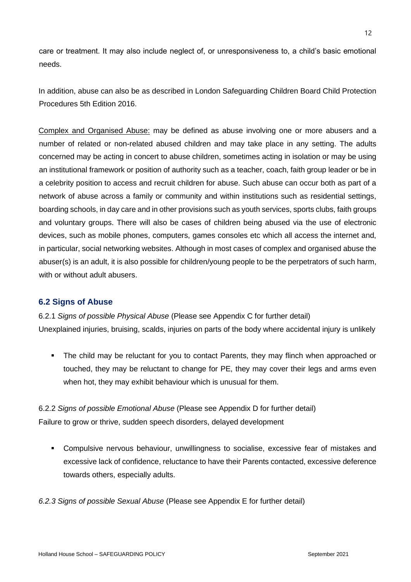care or treatment. It may also include neglect of, or unresponsiveness to, a child's basic emotional needs.

In addition, abuse can also be as described in London Safeguarding Children Board Child Protection Procedures 5th Edition 2016.

Complex and Organised Abuse: may be defined as abuse involving one or more abusers and a number of related or non-related abused children and may take place in any setting. The adults concerned may be acting in concert to abuse children, sometimes acting in isolation or may be using an institutional framework or position of authority such as a teacher, coach, faith group leader or be in a celebrity position to access and recruit children for abuse. Such abuse can occur both as part of a network of abuse across a family or community and within institutions such as residential settings, boarding schools, in day care and in other provisions such as youth services, sports clubs, faith groups and voluntary groups. There will also be cases of children being abused via the use of electronic devices, such as mobile phones, computers, games consoles etc which all access the internet and, in particular, social networking websites. Although in most cases of complex and organised abuse the abuser(s) is an adult, it is also possible for children/young people to be the perpetrators of such harm, with or without adult abusers.

## **6.2 Signs of Abuse**

6.2.1 *Signs of possible Physical Abuse* (Please see Appendix C for further detail) Unexplained injuries, bruising, scalds, injuries on parts of the body where accidental injury is unlikely

■ The child may be reluctant for you to contact Parents, they may flinch when approached or touched, they may be reluctant to change for PE, they may cover their legs and arms even when hot, they may exhibit behaviour which is unusual for them.

6.2.2 *Signs of possible Emotional Abuse* (Please see Appendix D for further detail) Failure to grow or thrive, sudden speech disorders, delayed development

▪ Compulsive nervous behaviour, unwillingness to socialise, excessive fear of mistakes and excessive lack of confidence, reluctance to have their Parents contacted, excessive deference towards others, especially adults.

*6.2.3 Signs of possible Sexual Abuse* (Please see Appendix E for further detail)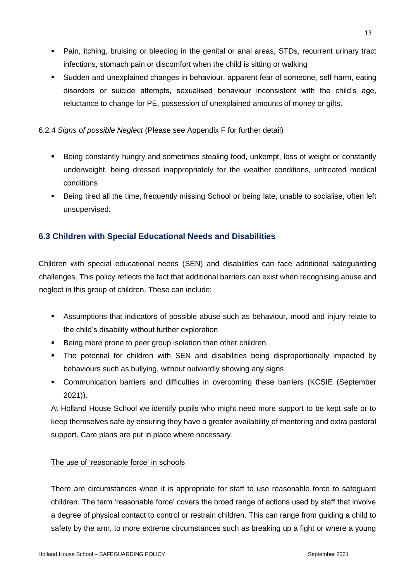- Pain, itching, bruising or bleeding in the genital or anal areas, STDs, recurrent urinary tract infections, stomach pain or discomfort when the child is sitting or walking
- Sudden and unexplained changes in behaviour, apparent fear of someone, self-harm, eating disorders or suicide attempts, sexualised behaviour inconsistent with the child's age, reluctance to change for PE, possession of unexplained amounts of money or gifts.

6.2.4 *Signs of possible Neglect* (Please see Appendix F for further detail)

- **•** Being constantly hungry and sometimes stealing food, unkempt, loss of weight or constantly underweight, being dressed inappropriately for the weather conditions, untreated medical conditions
- Being tired all the time, frequently missing School or being late, unable to socialise, often left unsupervised.

## **6.3 Children with Special Educational Needs and Disabilities**

Children with special educational needs (SEN) and disabilities can face additional safeguarding challenges. This policy reflects the fact that additional barriers can exist when recognising abuse and neglect in this group of children. These can include:

- **EXE** Assumptions that indicators of possible abuse such as behaviour, mood and injury relate to the child's disability without further exploration
- Being more prone to peer group isolation than other children.
- **•** The potential for children with SEN and disabilities being disproportionally impacted by behaviours such as bullying, without outwardly showing any signs
- Communication barriers and difficulties in overcoming these barriers (KCSIE (September 2021)).

At Holland House School we identify pupils who might need more support to be kept safe or to keep themselves safe by ensuring they have a greater availability of mentoring and extra pastoral support. Care plans are put in place where necessary.

## The use of 'reasonable force' in schools

There are circumstances when it is appropriate for staff to use reasonable force to safeguard children. The term 'reasonable force' covers the broad range of actions used by staff that involve a degree of physical contact to control or restrain children. This can range from guiding a child to safety by the arm, to more extreme circumstances such as breaking up a fight or where a young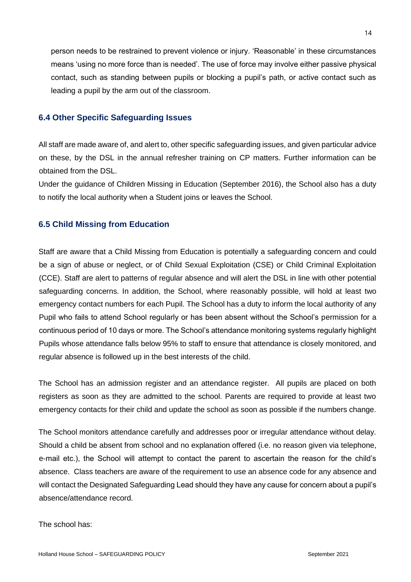person needs to be restrained to prevent violence or injury. 'Reasonable' in these circumstances means 'using no more force than is needed'. The use of force may involve either passive physical contact, such as standing between pupils or blocking a pupil's path, or active contact such as leading a pupil by the arm out of the classroom.

### **6.4 Other Specific Safeguarding Issues**

All staff are made aware of, and alert to, other specific safeguarding issues, and given particular advice on these, by the DSL in the annual refresher training on CP matters. Further information can be obtained from the DSL.

Under the guidance of Children Missing in Education (September 2016), the School also has a duty to notify the local authority when a Student joins or leaves the School.

#### **6.5 Child Missing from Education**

Staff are aware that a Child Missing from Education is potentially a safeguarding concern and could be a sign of abuse or neglect, or of Child Sexual Exploitation (CSE) or Child Criminal Exploitation (CCE). Staff are alert to patterns of regular absence and will alert the DSL in line with other potential safeguarding concerns. In addition, the School, where reasonably possible, will hold at least two emergency contact numbers for each Pupil. The School has a duty to inform the local authority of any Pupil who fails to attend School regularly or has been absent without the School's permission for a continuous period of 10 days or more. The School's attendance monitoring systems regularly highlight Pupils whose attendance falls below 95% to staff to ensure that attendance is closely monitored, and regular absence is followed up in the best interests of the child.

The School has an admission register and an attendance register. All pupils are placed on both registers as soon as they are admitted to the school. Parents are required to provide at least two emergency contacts for their child and update the school as soon as possible if the numbers change.

The School monitors attendance carefully and addresses poor or irregular attendance without delay. Should a child be absent from school and no explanation offered (i.e. no reason given via telephone, e-mail etc.), the School will attempt to contact the parent to ascertain the reason for the child's absence. Class teachers are aware of the requirement to use an absence code for any absence and will contact the Designated Safeguarding Lead should they have any cause for concern about a pupil's absence/attendance record.

The school has: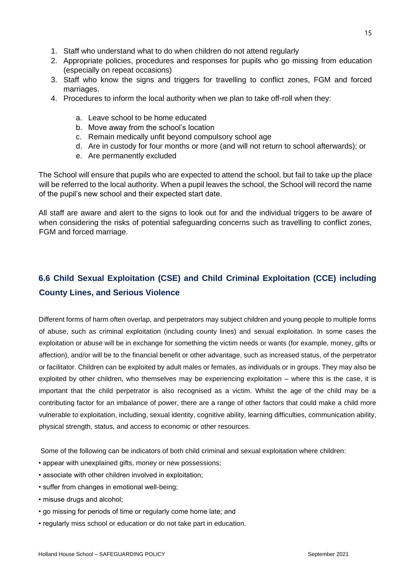- 1. Staff who understand what to do when children do not attend regularly
- 2. Appropriate policies, procedures and responses for pupils who go missing from education (especially on repeat occasions)
- 3. Staff who know the signs and triggers for travelling to conflict zones, FGM and forced marriages.
- 4. Procedures to inform the local authority when we plan to take off-roll when they:
	- a. Leave school to be home educated
	- b. Move away from the school's location
	- c. Remain medically unfit beyond compulsory school age
	- d. Are in custody for four months or more (and will not return to school afterwards); or
	- e. Are permanently excluded

The School will ensure that pupils who are expected to attend the school, but fail to take up the place will be referred to the local authority. When a pupil leaves the school, the School will record the name of the pupil's new school and their expected start date.

All staff are aware and alert to the signs to look out for and the individual triggers to be aware of when considering the risks of potential safeguarding concerns such as travelling to conflict zones, FGM and forced marriage.

## **6.6 Child Sexual Exploitation (CSE) and Child Criminal Exploitation (CCE) including County Lines, and Serious Violence**

Different forms of harm often overlap, and perpetrators may subject children and young people to multiple forms of abuse, such as criminal exploitation (including county lines) and sexual exploitation. In some cases the exploitation or abuse will be in exchange for something the victim needs or wants (for example, money, gifts or affection), and/or will be to the financial benefit or other advantage, such as increased status, of the perpetrator or facilitator. Children can be exploited by adult males or females, as individuals or in groups. They may also be exploited by other children, who themselves may be experiencing exploitation – where this is the case, it is important that the child perpetrator is also recognised as a victim. Whilst the age of the child may be a contributing factor for an imbalance of power, there are a range of other factors that could make a child more vulnerable to exploitation, including, sexual identity, cognitive ability, learning difficulties, communication ability, physical strength, status, and access to economic or other resources.

Some of the following can be indicators of both child criminal and sexual exploitation where children:

- appear with unexplained gifts, money or new possessions;
- associate with other children involved in exploitation;
- suffer from changes in emotional well-being;
- misuse drugs and alcohol;
- go missing for periods of time or regularly come home late; and
- regularly miss school or education or do not take part in education.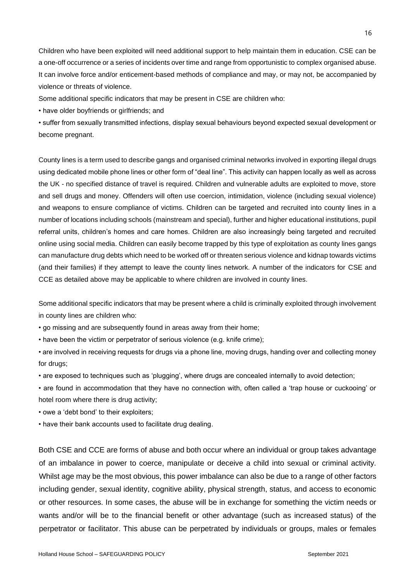Children who have been exploited will need additional support to help maintain them in education. CSE can be a one-off occurrence or a series of incidents over time and range from opportunistic to complex organised abuse. It can involve force and/or enticement-based methods of compliance and may, or may not, be accompanied by violence or threats of violence.

Some additional specific indicators that may be present in CSE are children who:

• have older boyfriends or girlfriends; and

• suffer from sexually transmitted infections, display sexual behaviours beyond expected sexual development or become pregnant.

County lines is a term used to describe gangs and organised criminal networks involved in exporting illegal drugs using dedicated mobile phone lines or other form of "deal line". This activity can happen locally as well as across the UK - no specified distance of travel is required. Children and vulnerable adults are exploited to move, store and sell drugs and money. Offenders will often use coercion, intimidation, violence (including sexual violence) and weapons to ensure compliance of victims. Children can be targeted and recruited into county lines in a number of locations including schools (mainstream and special), further and higher educational institutions, pupil referral units, children's homes and care homes. Children are also increasingly being targeted and recruited online using social media. Children can easily become trapped by this type of exploitation as county lines gangs can manufacture drug debts which need to be worked off or threaten serious violence and kidnap towards victims (and their families) if they attempt to leave the county lines network. A number of the indicators for CSE and CCE as detailed above may be applicable to where children are involved in county lines.

Some additional specific indicators that may be present where a child is criminally exploited through involvement in county lines are children who:

• go missing and are subsequently found in areas away from their home;

• have been the victim or perpetrator of serious violence (e.g. knife crime);

• are involved in receiving requests for drugs via a phone line, moving drugs, handing over and collecting money for drugs;

• are exposed to techniques such as 'plugging', where drugs are concealed internally to avoid detection;

• are found in accommodation that they have no connection with, often called a 'trap house or cuckooing' or hotel room where there is drug activity;

• owe a 'debt bond' to their exploiters;

• have their bank accounts used to facilitate drug dealing.

Both CSE and CCE are forms of abuse and both occur where an individual or group takes advantage of an imbalance in power to coerce, manipulate or deceive a child into sexual or criminal activity. Whilst age may be the most obvious, this power imbalance can also be due to a range of other factors including gender, sexual identity, cognitive ability, physical strength, status, and access to economic or other resources. In some cases, the abuse will be in exchange for something the victim needs or wants and/or will be to the financial benefit or other advantage (such as increased status) of the perpetrator or facilitator. This abuse can be perpetrated by individuals or groups, males or females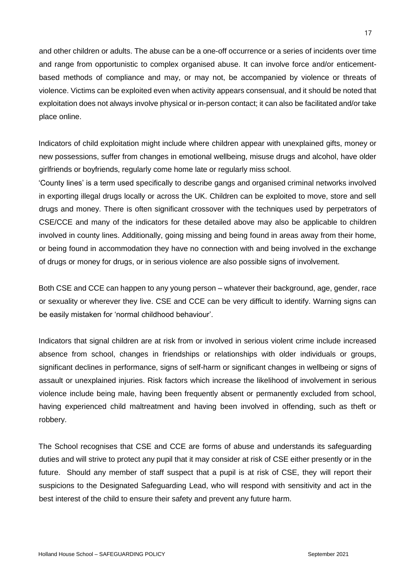and other children or adults. The abuse can be a one-off occurrence or a series of incidents over time and range from opportunistic to complex organised abuse. It can involve force and/or enticementbased methods of compliance and may, or may not, be accompanied by violence or threats of violence. Victims can be exploited even when activity appears consensual, and it should be noted that exploitation does not always involve physical or in-person contact; it can also be facilitated and/or take place online.

Indicators of child exploitation might include where children appear with unexplained gifts, money or new possessions, suffer from changes in emotional wellbeing, misuse drugs and alcohol, have older girlfriends or boyfriends, regularly come home late or regularly miss school.

'County lines' is a term used specifically to describe gangs and organised criminal networks involved in exporting illegal drugs locally or across the UK. Children can be exploited to move, store and sell drugs and money. There is often significant crossover with the techniques used by perpetrators of CSE/CCE and many of the indicators for these detailed above may also be applicable to children involved in county lines. Additionally, going missing and being found in areas away from their home, or being found in accommodation they have no connection with and being involved in the exchange of drugs or money for drugs, or in serious violence are also possible signs of involvement.

Both CSE and CCE can happen to any young person – whatever their background, age, gender, race or sexuality or wherever they live. CSE and CCE can be very difficult to identify. Warning signs can be easily mistaken for 'normal childhood behaviour'.

Indicators that signal children are at risk from or involved in serious violent crime include increased absence from school, changes in friendships or relationships with older individuals or groups, significant declines in performance, signs of self-harm or significant changes in wellbeing or signs of assault or unexplained injuries. Risk factors which increase the likelihood of involvement in serious violence include being male, having been frequently absent or permanently excluded from school, having experienced child maltreatment and having been involved in offending, such as theft or robbery.

The School recognises that CSE and CCE are forms of abuse and understands its safeguarding duties and will strive to protect any pupil that it may consider at risk of CSE either presently or in the future. Should any member of staff suspect that a pupil is at risk of CSE, they will report their suspicions to the Designated Safeguarding Lead, who will respond with sensitivity and act in the best interest of the child to ensure their safety and prevent any future harm.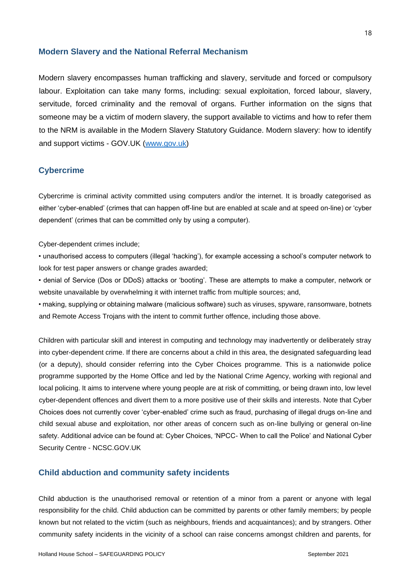#### **Modern Slavery and the National Referral Mechanism**

Modern slavery encompasses human trafficking and slavery, servitude and forced or compulsory labour. Exploitation can take many forms, including: sexual exploitation, forced labour, slavery, servitude, forced criminality and the removal of organs. Further information on the signs that someone may be a victim of modern slavery, the support available to victims and how to refer them to the NRM is available in the Modern Slavery Statutory Guidance. Modern slavery: how to identify and support victims - GOV.UK [\(www.gov.uk\)](http://www.gov.uk/)

#### **Cybercrime**

Cybercrime is criminal activity committed using computers and/or the internet. It is broadly categorised as either 'cyber-enabled' (crimes that can happen off-line but are enabled at scale and at speed on-line) or 'cyber dependent' (crimes that can be committed only by using a computer).

Cyber-dependent crimes include;

• unauthorised access to computers (illegal 'hacking'), for example accessing a school's computer network to look for test paper answers or change grades awarded;

• denial of Service (Dos or DDoS) attacks or 'booting'. These are attempts to make a computer, network or website unavailable by overwhelming it with internet traffic from multiple sources; and,

• making, supplying or obtaining malware (malicious software) such as viruses, spyware, ransomware, botnets and Remote Access Trojans with the intent to commit further offence, including those above.

Children with particular skill and interest in computing and technology may inadvertently or deliberately stray into cyber-dependent crime. If there are concerns about a child in this area, the designated safeguarding lead (or a deputy), should consider referring into the Cyber Choices programme. This is a nationwide police programme supported by the Home Office and led by the National Crime Agency, working with regional and local policing. It aims to intervene where young people are at risk of committing, or being drawn into, low level cyber-dependent offences and divert them to a more positive use of their skills and interests. Note that Cyber Choices does not currently cover 'cyber-enabled' crime such as fraud, purchasing of illegal drugs on-line and child sexual abuse and exploitation, nor other areas of concern such as on-line bullying or general on-line safety. Additional advice can be found at: Cyber Choices, 'NPCC- When to call the Police' and National Cyber Security Centre - NCSC.GOV.UK

#### **Child abduction and community safety incidents**

Child abduction is the unauthorised removal or retention of a minor from a parent or anyone with legal responsibility for the child. Child abduction can be committed by parents or other family members; by people known but not related to the victim (such as neighbours, friends and acquaintances); and by strangers. Other community safety incidents in the vicinity of a school can raise concerns amongst children and parents, for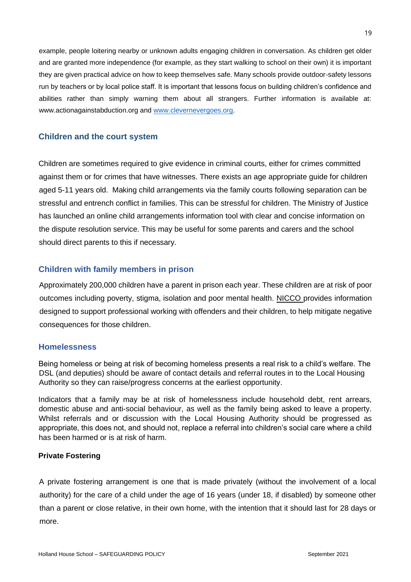example, people loitering nearby or unknown adults engaging children in conversation. As children get older and are granted more independence (for example, as they start walking to school on their own) it is important they are given practical advice on how to keep themselves safe. Many schools provide outdoor-safety lessons run by teachers or by local police staff. It is important that lessons focus on building children's confidence and abilities rather than simply warning them about all strangers. Further information is available at: www.actionagainstabduction.org and [www.clevernevergoes.org.](http://www.clevernevergoes.org/)

### **Children and the court system**

Children are sometimes required to give evidence in criminal courts, either for crimes committed against them or for crimes that have witnesses. There exists an age appropriate guide for children aged 5-11 years old. Making child arrangements via the family courts following separation can be stressful and entrench conflict in families. This can be stressful for children. The Ministry of Justice has launched an online child arrangements information tool with clear and concise information on the dispute resolution service. This may be useful for some parents and carers and the school should direct parents to this if necessary.

#### **Children with family members in prison**

Approximately 200,000 children have a parent in prison each year. These children are at risk of poor outcomes including poverty, stigma, isolation and poor mental health. NICCO provides information designed to support professional working with offenders and their children, to help mitigate negative consequences for those children.

#### **Homelessness**

Being homeless or being at risk of becoming homeless presents a real risk to a child's welfare. The DSL (and deputies) should be aware of contact details and referral routes in to the Local Housing Authority so they can raise/progress concerns at the earliest opportunity.

Indicators that a family may be at risk of homelessness include household debt, rent arrears, domestic abuse and anti-social behaviour, as well as the family being asked to leave a property. Whilst referrals and or discussion with the Local Housing Authority should be progressed as appropriate, this does not, and should not, replace a referral into children's social care where a child has been harmed or is at risk of harm.

#### **Private Fostering**

A private fostering arrangement is one that is made privately (without the involvement of a local authority) for the care of a child under the age of 16 years (under 18, if disabled) by someone other than a parent or close relative, in their own home, with the intention that it should last for 28 days or more.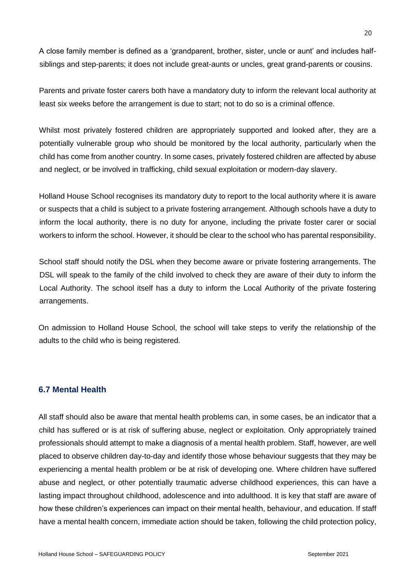A close family member is defined as a 'grandparent, brother, sister, uncle or aunt' and includes halfsiblings and step-parents; it does not include great-aunts or uncles, great grand-parents or cousins.

Parents and private foster carers both have a mandatory duty to inform the relevant local authority at least six weeks before the arrangement is due to start; not to do so is a criminal offence.

Whilst most privately fostered children are appropriately supported and looked after, they are a potentially vulnerable group who should be monitored by the local authority, particularly when the child has come from another country. In some cases, privately fostered children are affected by abuse and neglect, or be involved in trafficking, child sexual exploitation or modern-day slavery.

Holland House School recognises its mandatory duty to report to the local authority where it is aware or suspects that a child is subject to a private fostering arrangement. Although schools have a duty to inform the local authority, there is no duty for anyone, including the private foster carer or social workers to inform the school. However, it should be clear to the school who has parental responsibility.

School staff should notify the DSL when they become aware or private fostering arrangements. The DSL will speak to the family of the child involved to check they are aware of their duty to inform the Local Authority. The school itself has a duty to inform the Local Authority of the private fostering arrangements.

On admission to Holland House School, the school will take steps to verify the relationship of the adults to the child who is being registered.

## **6.7 Mental Health**

All staff should also be aware that mental health problems can, in some cases, be an indicator that a child has suffered or is at risk of suffering abuse, neglect or exploitation. Only appropriately trained professionals should attempt to make a diagnosis of a mental health problem. Staff, however, are well placed to observe children day-to-day and identify those whose behaviour suggests that they may be experiencing a mental health problem or be at risk of developing one. Where children have suffered abuse and neglect, or other potentially traumatic adverse childhood experiences, this can have a lasting impact throughout childhood, adolescence and into adulthood. It is key that staff are aware of how these children's experiences can impact on their mental health, behaviour, and education. If staff have a mental health concern, immediate action should be taken, following the child protection policy,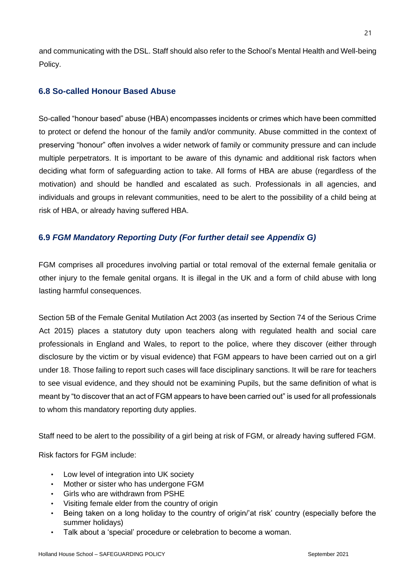and communicating with the DSL. Staff should also refer to the School's Mental Health and Well-being Policy.

### **6.8 So-called Honour Based Abuse**

So-called "honour based" abuse (HBA) encompasses incidents or crimes which have been committed to protect or defend the honour of the family and/or community. Abuse committed in the context of preserving "honour" often involves a wider network of family or community pressure and can include multiple perpetrators. It is important to be aware of this dynamic and additional risk factors when deciding what form of safeguarding action to take. All forms of HBA are abuse (regardless of the motivation) and should be handled and escalated as such. Professionals in all agencies, and individuals and groups in relevant communities, need to be alert to the possibility of a child being at risk of HBA, or already having suffered HBA.

## **6.9** *FGM Mandatory Reporting Duty (For further detail see Appendix G)*

FGM comprises all procedures involving partial or total removal of the external female genitalia or other injury to the female genital organs. It is illegal in the UK and a form of child abuse with long lasting harmful consequences.

Section 5B of the Female Genital Mutilation Act 2003 (as inserted by Section 74 of the Serious Crime Act 2015) places a statutory duty upon teachers along with regulated health and social care professionals in England and Wales, to report to the police, where they discover (either through disclosure by the victim or by visual evidence) that FGM appears to have been carried out on a girl under 18. Those failing to report such cases will face disciplinary sanctions. It will be rare for teachers to see visual evidence, and they should not be examining Pupils, but the same definition of what is meant by "to discover that an act of FGM appears to have been carried out" is used for all professionals to whom this mandatory reporting duty applies.

Staff need to be alert to the possibility of a girl being at risk of FGM, or already having suffered FGM.

Risk factors for FGM include:

- Low level of integration into UK society
- Mother or sister who has undergone FGM
- Girls who are withdrawn from PSHE
- Visiting female elder from the country of origin
- Being taken on a long holiday to the country of origin/'at risk' country (especially before the summer holidays)
- Talk about a 'special' procedure or celebration to become a woman.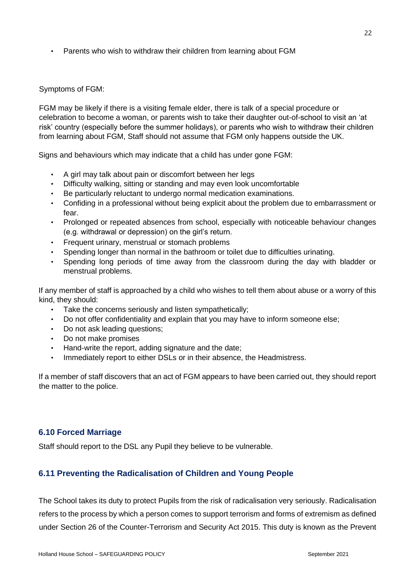• Parents who wish to withdraw their children from learning about FGM

#### Symptoms of FGM:

FGM may be likely if there is a visiting female elder, there is talk of a special procedure or celebration to become a woman, or parents wish to take their daughter out-of-school to visit an 'at risk' country (especially before the summer holidays), or parents who wish to withdraw their children from learning about FGM, Staff should not assume that FGM only happens outside the UK.

Signs and behaviours which may indicate that a child has under gone FGM:

- A girl may talk about pain or discomfort between her legs
- Difficulty walking, sitting or standing and may even look uncomfortable
- Be particularly reluctant to undergo normal medication examinations.
- Confiding in a professional without being explicit about the problem due to embarrassment or fear.
- Prolonged or repeated absences from school, especially with noticeable behaviour changes (e.g. withdrawal or depression) on the girl's return.
- Frequent urinary, menstrual or stomach problems
- Spending longer than normal in the bathroom or toilet due to difficulties urinating.
- Spending long periods of time away from the classroom during the day with bladder or menstrual problems.

If any member of staff is approached by a child who wishes to tell them about abuse or a worry of this kind, they should:

- Take the concerns seriously and listen sympathetically;
- Do not offer confidentiality and explain that you may have to inform someone else;
- Do not ask leading questions;
- Do not make promises
- Hand-write the report, adding signature and the date;
- Immediately report to either DSLs or in their absence, the Headmistress.

If a member of staff discovers that an act of FGM appears to have been carried out, they should report the matter to the police.

#### **6.10 Forced Marriage**

Staff should report to the DSL any Pupil they believe to be vulnerable.

## **6.11 Preventing the Radicalisation of Children and Young People**

The School takes its duty to protect Pupils from the risk of radicalisation very seriously. Radicalisation refers to the process by which a person comes to support terrorism and forms of extremism as defined under Section 26 of the Counter-Terrorism and Security Act 2015. This duty is known as the Prevent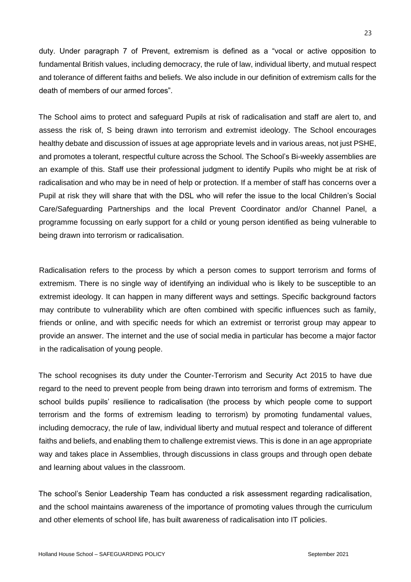duty. Under paragraph 7 of Prevent, extremism is defined as a "vocal or active opposition to fundamental British values, including democracy, the rule of law, individual liberty, and mutual respect and tolerance of different faiths and beliefs. We also include in our definition of extremism calls for the death of members of our armed forces".

The School aims to protect and safeguard Pupils at risk of radicalisation and staff are alert to, and assess the risk of, S being drawn into terrorism and extremist ideology. The School encourages healthy debate and discussion of issues at age appropriate levels and in various areas, not just PSHE, and promotes a tolerant, respectful culture across the School. The School's Bi-weekly assemblies are an example of this. Staff use their professional judgment to identify Pupils who might be at risk of radicalisation and who may be in need of help or protection. If a member of staff has concerns over a Pupil at risk they will share that with the DSL who will refer the issue to the local Children's Social Care/Safeguarding Partnerships and the local Prevent Coordinator and/or Channel Panel, a programme focussing on early support for a child or young person identified as being vulnerable to being drawn into terrorism or radicalisation.

Radicalisation refers to the process by which a person comes to support terrorism and forms of extremism. There is no single way of identifying an individual who is likely to be susceptible to an extremist ideology. It can happen in many different ways and settings. Specific background factors may contribute to vulnerability which are often combined with specific influences such as family, friends or online, and with specific needs for which an extremist or terrorist group may appear to provide an answer. The internet and the use of social media in particular has become a major factor in the radicalisation of young people.

The school recognises its duty under the Counter-Terrorism and Security Act 2015 to have due regard to the need to prevent people from being drawn into terrorism and forms of extremism. The school builds pupils' resilience to radicalisation (the process by which people come to support terrorism and the forms of extremism leading to terrorism) by promoting fundamental values, including democracy, the rule of law, individual liberty and mutual respect and tolerance of different faiths and beliefs, and enabling them to challenge extremist views. This is done in an age appropriate way and takes place in Assemblies, through discussions in class groups and through open debate and learning about values in the classroom.

The school's Senior Leadership Team has conducted a risk assessment regarding radicalisation, and the school maintains awareness of the importance of promoting values through the curriculum and other elements of school life, has built awareness of radicalisation into IT policies.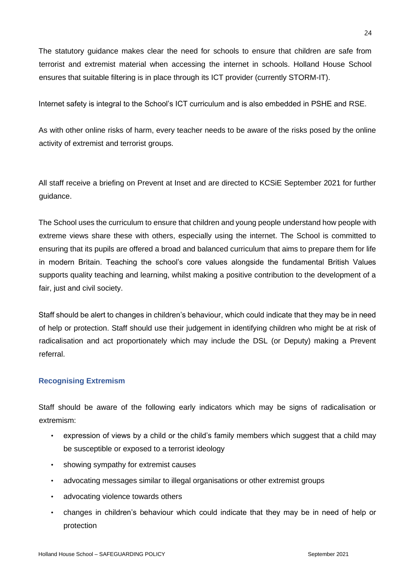The statutory guidance makes clear the need for schools to ensure that children are safe from terrorist and extremist material when accessing the internet in schools. Holland House School ensures that suitable filtering is in place through its ICT provider (currently STORM-IT).

Internet safety is integral to the School's ICT curriculum and is also embedded in PSHE and RSE.

As with other online risks of harm, every teacher needs to be aware of the risks posed by the online activity of extremist and terrorist groups.

All staff receive a briefing on Prevent at Inset and are directed to KCSiE September 2021 for further guidance.

The School uses the curriculum to ensure that children and young people understand how people with extreme views share these with others, especially using the internet. The School is committed to ensuring that its pupils are offered a broad and balanced curriculum that aims to prepare them for life in modern Britain. Teaching the school's core values alongside the fundamental British Values supports quality teaching and learning, whilst making a positive contribution to the development of a fair, just and civil society.

Staff should be alert to changes in children's behaviour, which could indicate that they may be in need of help or protection. Staff should use their judgement in identifying children who might be at risk of radicalisation and act proportionately which may include the DSL (or Deputy) making a Prevent referral.

## **Recognising Extremism**

Staff should be aware of the following early indicators which may be signs of radicalisation or extremism:

- expression of views by a child or the child's family members which suggest that a child may be susceptible or exposed to a terrorist ideology
- showing sympathy for extremist causes
- advocating messages similar to illegal organisations or other extremist groups
- advocating violence towards others
- changes in children's behaviour which could indicate that they may be in need of help or protection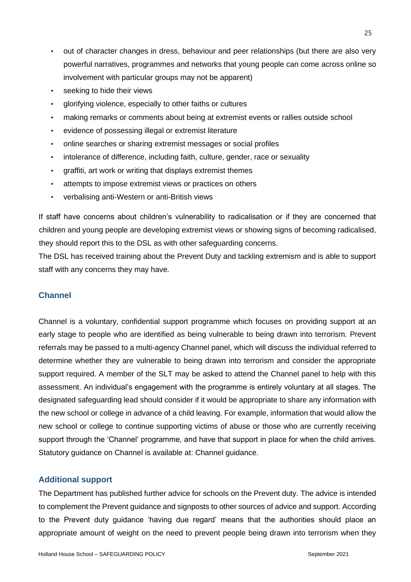- out of character changes in dress, behaviour and peer relationships (but there are also very powerful narratives, programmes and networks that young people can come across online so involvement with particular groups may not be apparent)
- seeking to hide their views
- glorifying violence, especially to other faiths or cultures
- making remarks or comments about being at extremist events or rallies outside school
- evidence of possessing illegal or extremist literature
- online searches or sharing extremist messages or social profiles
- intolerance of difference, including faith, culture, gender, race or sexuality
- graffiti, art work or writing that displays extremist themes
- attempts to impose extremist views or practices on others
- verbalising anti-Western or anti-British views

If staff have concerns about children's vulnerability to radicalisation or if they are concerned that children and young people are developing extremist views or showing signs of becoming radicalised, they should report this to the DSL as with other safeguarding concerns.

The DSL has received training about the Prevent Duty and tackling extremism and is able to support staff with any concerns they may have.

#### **Channel**

Channel is a voluntary, confidential support programme which focuses on providing support at an early stage to people who are identified as being vulnerable to being drawn into terrorism. Prevent referrals may be passed to a multi-agency Channel panel, which will discuss the individual referred to determine whether they are vulnerable to being drawn into terrorism and consider the appropriate support required. A member of the SLT may be asked to attend the Channel panel to help with this assessment. An individual's engagement with the programme is entirely voluntary at all stages. The designated safeguarding lead should consider if it would be appropriate to share any information with the new school or college in advance of a child leaving. For example, information that would allow the new school or college to continue supporting victims of abuse or those who are currently receiving support through the 'Channel' programme, and have that support in place for when the child arrives. Statutory guidance on Channel is available at: Channel guidance.

#### **Additional support**

The Department has published further advice for schools on the Prevent duty. The advice is intended to complement the Prevent guidance and signposts to other sources of advice and support. According to the Prevent duty guidance 'having due regard' means that the authorities should place an appropriate amount of weight on the need to prevent people being drawn into terrorism when they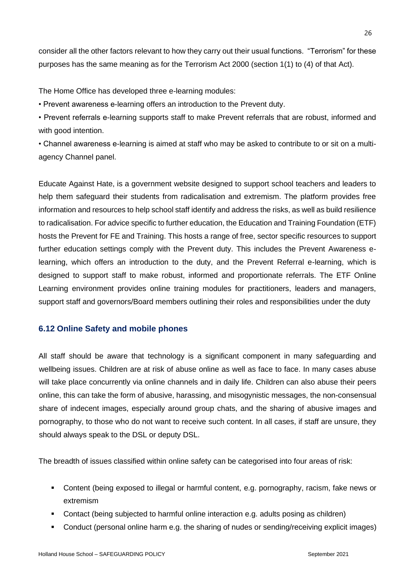consider all the other factors relevant to how they carry out their usual functions. "Terrorism" for these purposes has the same meaning as for the Terrorism Act 2000 (section 1(1) to (4) of that Act).

The Home Office has developed three e-learning modules:

• Prevent awareness e-learning offers an introduction to the Prevent duty.

• Prevent referrals e-learning supports staff to make Prevent referrals that are robust, informed and with good intention.

• Channel awareness e-learning is aimed at staff who may be asked to contribute to or sit on a multiagency Channel panel.

Educate Against Hate, is a government website designed to support school teachers and leaders to help them safeguard their students from radicalisation and extremism. The platform provides free information and resources to help school staff identify and address the risks, as well as build resilience to radicalisation. For advice specific to further education, the Education and Training Foundation (ETF) hosts the Prevent for FE and Training. This hosts a range of free, sector specific resources to support further education settings comply with the Prevent duty. This includes the Prevent Awareness elearning, which offers an introduction to the duty, and the Prevent Referral e-learning, which is designed to support staff to make robust, informed and proportionate referrals. The ETF Online Learning environment provides online training modules for practitioners, leaders and managers, support staff and governors/Board members outlining their roles and responsibilities under the duty

## **6.12 Online Safety and mobile phones**

All staff should be aware that technology is a significant component in many safeguarding and wellbeing issues. Children are at risk of abuse online as well as face to face. In many cases abuse will take place concurrently via online channels and in daily life. Children can also abuse their peers online, this can take the form of abusive, harassing, and misogynistic messages, the non-consensual share of indecent images, especially around group chats, and the sharing of abusive images and pornography, to those who do not want to receive such content. In all cases, if staff are unsure, they should always speak to the DSL or deputy DSL.

The breadth of issues classified within online safety can be categorised into four areas of risk:

- Content (being exposed to illegal or harmful content, e.g. pornography, racism, fake news or extremism
- Contact (being subjected to harmful online interaction e.g. adults posing as children)
- Conduct (personal online harm e.g. the sharing of nudes or sending/receiving explicit images)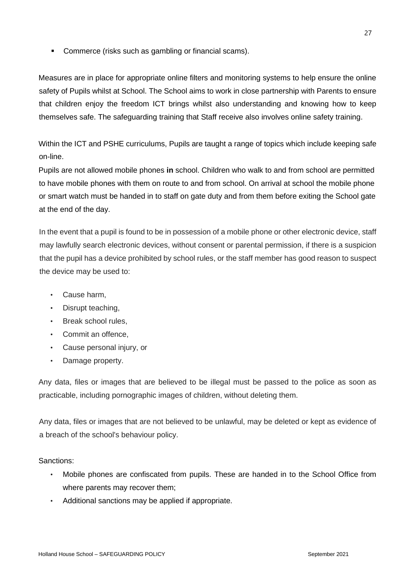■ Commerce (risks such as gambling or financial scams).

Measures are in place for appropriate online filters and monitoring systems to help ensure the online safety of Pupils whilst at School. The School aims to work in close partnership with Parents to ensure that children enjoy the freedom ICT brings whilst also understanding and knowing how to keep themselves safe. The safeguarding training that Staff receive also involves online safety training.

Within the ICT and PSHE curriculums, Pupils are taught a range of topics which include keeping safe on-line.

Pupils are not allowed mobile phones **in** school. Children who walk to and from school are permitted to have mobile phones with them on route to and from school. On arrival at school the mobile phone or smart watch must be handed in to staff on gate duty and from them before exiting the School gate at the end of the day.

In the event that a pupil is found to be in possession of a mobile phone or other electronic device, staff may lawfully search electronic devices, without consent or parental permission, if there is a suspicion that the pupil has a device prohibited by school rules, or the staff member has good reason to suspect the device may be used to:

- Cause harm,
- Disrupt teaching,
- Break school rules,
- Commit an offence,
- Cause personal injury, or
- Damage property.

Any data, files or images that are believed to be illegal must be passed to the police as soon as practicable, including pornographic images of children, without deleting them.

Any data, files or images that are not believed to be unlawful, may be deleted or kept as evidence of a breach of the school's behaviour policy.

## Sanctions:

- Mobile phones are confiscated from pupils. These are handed in to the School Office from where parents may recover them;
- Additional sanctions may be applied if appropriate.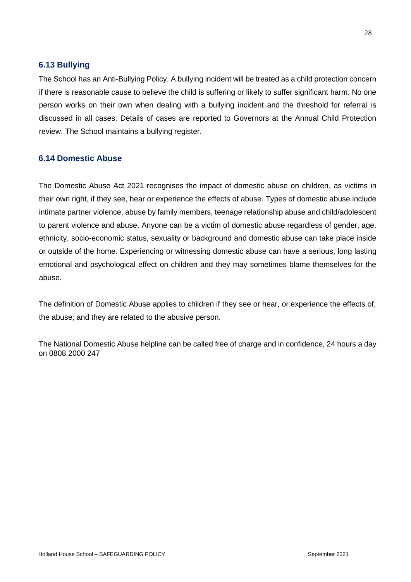## **6.13 Bullying**

The School has an Anti-Bullying Policy. A bullying incident will be treated as a child protection concern if there is reasonable cause to believe the child is suffering or likely to suffer significant harm. No one person works on their own when dealing with a bullying incident and the threshold for referral is discussed in all cases. Details of cases are reported to Governors at the Annual Child Protection review. The School maintains a bullying register.

#### **6.14 Domestic Abuse**

The Domestic Abuse Act 2021 recognises the impact of domestic abuse on children, as victims in their own right, if they see, hear or experience the effects of abuse. Types of domestic abuse include intimate partner violence, abuse by family members, teenage relationship abuse and child/adolescent to parent violence and abuse. Anyone can be a victim of domestic abuse regardless of gender, age, ethnicity, socio-economic status, sexuality or background and domestic abuse can take place inside or outside of the home. Experiencing or witnessing domestic abuse can have a serious, long lasting emotional and psychological effect on children and they may sometimes blame themselves for the abuse.

The definition of Domestic Abuse applies to children if they see or hear, or experience the effects of, the abuse; and they are related to the abusive person.

The National Domestic Abuse helpline can be called free of charge and in confidence, 24 hours a day on 0808 2000 247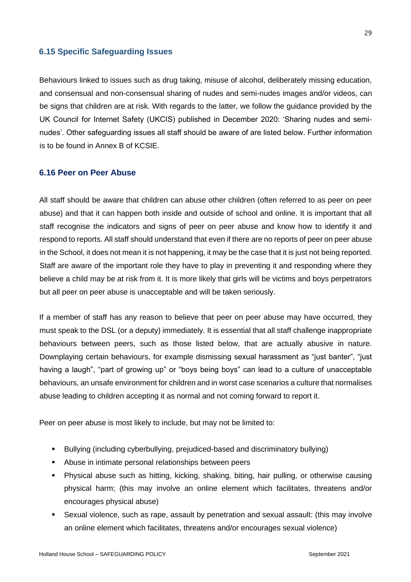#### **6.15 Specific Safeguarding Issues**

Behaviours linked to issues such as drug taking, misuse of alcohol, deliberately missing education, and consensual and non-consensual sharing of nudes and semi-nudes images and/or videos, can be signs that children are at risk. With regards to the latter, we follow the guidance provided by the UK Council for Internet Safety (UKCIS) published in December 2020: 'Sharing nudes and seminudes'. Other safeguarding issues all staff should be aware of are listed below. Further information is to be found in Annex B of KCSIE.

#### **6.16 Peer on Peer Abuse**

All staff should be aware that children can abuse other children (often referred to as peer on peer abuse) and that it can happen both inside and outside of school and online. It is important that all staff recognise the indicators and signs of peer on peer abuse and know how to identify it and respond to reports. All staff should understand that even if there are no reports of peer on peer abuse in the School, it does not mean it is not happening, it may be the case that it is just not being reported. Staff are aware of the important role they have to play in preventing it and responding where they believe a child may be at risk from it. It is more likely that girls will be victims and boys perpetrators but all peer on peer abuse is unacceptable and will be taken seriously.

If a member of staff has any reason to believe that peer on peer abuse may have occurred, they must speak to the DSL (or a deputy) immediately. It is essential that all staff challenge inappropriate behaviours between peers, such as those listed below, that are actually abusive in nature. Downplaying certain behaviours, for example dismissing sexual harassment as "just banter", "just having a laugh", "part of growing up" or "boys being boys" can lead to a culture of unacceptable behaviours, an unsafe environment for children and in worst case scenarios a culture that normalises abuse leading to children accepting it as normal and not coming forward to report it.

Peer on peer abuse is most likely to include, but may not be limited to:

- Bullying (including cyberbullying, prejudiced-based and discriminatory bullying)
- Abuse in intimate personal relationships between peers
- Physical abuse such as hitting, kicking, shaking, biting, hair pulling, or otherwise causing physical harm; (this may involve an online element which facilitates, threatens and/or encourages physical abuse)
- Sexual violence, such as rape, assault by penetration and sexual assault: (this may involve an online element which facilitates, threatens and/or encourages sexual violence)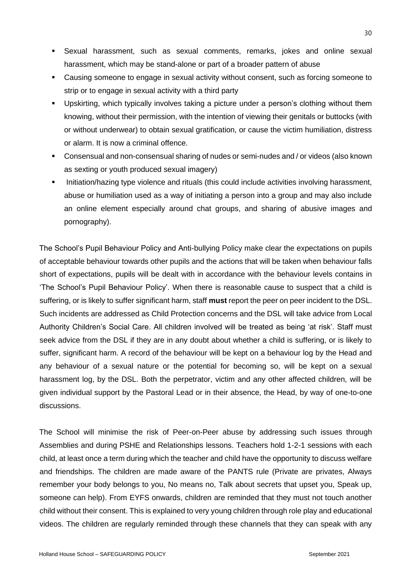- Sexual harassment, such as sexual comments, remarks, jokes and online sexual harassment, which may be stand-alone or part of a broader pattern of abuse
- Causing someone to engage in sexual activity without consent, such as forcing someone to strip or to engage in sexual activity with a third party
- Upskirting, which typically involves taking a picture under a person's clothing without them knowing, without their permission, with the intention of viewing their genitals or buttocks (with or without underwear) to obtain sexual gratification, or cause the victim humiliation, distress or alarm. It is now a criminal offence.
- Consensual and non-consensual sharing of nudes or semi-nudes and / or videos (also known as sexting or youth produced sexual imagery)
- **•** Initiation/hazing type violence and rituals (this could include activities involving harassment, abuse or humiliation used as a way of initiating a person into a group and may also include an online element especially around chat groups, and sharing of abusive images and pornography).

The School's Pupil Behaviour Policy and Anti-bullying Policy make clear the expectations on pupils of acceptable behaviour towards other pupils and the actions that will be taken when behaviour falls short of expectations, pupils will be dealt with in accordance with the behaviour levels contains in 'The School's Pupil Behaviour Policy'. When there is reasonable cause to suspect that a child is suffering, or is likely to suffer significant harm, staff **must** report the peer on peer incident to the DSL. Such incidents are addressed as Child Protection concerns and the DSL will take advice from Local Authority Children's Social Care. All children involved will be treated as being 'at risk'. Staff must seek advice from the DSL if they are in any doubt about whether a child is suffering, or is likely to suffer, significant harm. A record of the behaviour will be kept on a behaviour log by the Head and any behaviour of a sexual nature or the potential for becoming so, will be kept on a sexual harassment log, by the DSL. Both the perpetrator, victim and any other affected children, will be given individual support by the Pastoral Lead or in their absence, the Head, by way of one-to-one discussions.

The School will minimise the risk of Peer-on-Peer abuse by addressing such issues through Assemblies and during PSHE and Relationships lessons. Teachers hold 1-2-1 sessions with each child, at least once a term during which the teacher and child have the opportunity to discuss welfare and friendships. The children are made aware of the PANTS rule (Private are privates, Always remember your body belongs to you, No means no, Talk about secrets that upset you, Speak up, someone can help). From EYFS onwards, children are reminded that they must not touch another child without their consent. This is explained to very young children through role play and educational videos. The children are regularly reminded through these channels that they can speak with any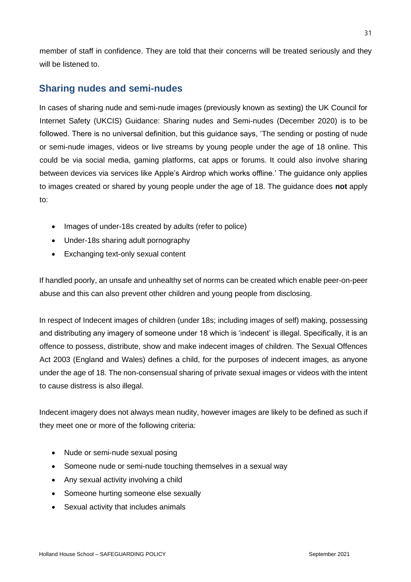member of staff in confidence. They are told that their concerns will be treated seriously and they will be listened to.

## **Sharing nudes and semi-nudes**

In cases of sharing nude and semi-nude images (previously known as sexting) the UK Council for Internet Safety (UKCIS) Guidance: Sharing nudes and Semi-nudes (December 2020) is to be followed. There is no universal definition, but this guidance says, 'The sending or posting of nude or semi-nude images, videos or live streams by young people under the age of 18 online. This could be via social media, gaming platforms, cat apps or forums. It could also involve sharing between devices via services like Apple's Airdrop which works offline.' The guidance only applies to images created or shared by young people under the age of 18. The guidance does **not** apply to:

- Images of under-18s created by adults (refer to police)
- Under-18s sharing adult pornography
- Exchanging text-only sexual content

If handled poorly, an unsafe and unhealthy set of norms can be created which enable peer-on-peer abuse and this can also prevent other children and young people from disclosing.

In respect of Indecent images of children (under 18s; including images of self) making, possessing and distributing any imagery of someone under 18 which is 'indecent' is illegal. Specifically, it is an offence to possess, distribute, show and make indecent images of children. The Sexual Offences Act 2003 (England and Wales) defines a child, for the purposes of indecent images, as anyone under the age of 18. The non-consensual sharing of private sexual images or videos with the intent to cause distress is also illegal.

Indecent imagery does not always mean nudity, however images are likely to be defined as such if they meet one or more of the following criteria:

- Nude or semi-nude sexual posing
- Someone nude or semi-nude touching themselves in a sexual way
- Any sexual activity involving a child
- Someone hurting someone else sexually
- Sexual activity that includes animals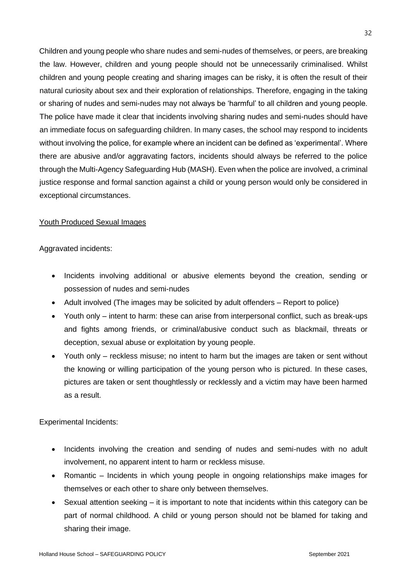Children and young people who share nudes and semi-nudes of themselves, or peers, are breaking the law. However, children and young people should not be unnecessarily criminalised. Whilst children and young people creating and sharing images can be risky, it is often the result of their natural curiosity about sex and their exploration of relationships. Therefore, engaging in the taking or sharing of nudes and semi-nudes may not always be 'harmful' to all children and young people. The police have made it clear that incidents involving sharing nudes and semi-nudes should have an immediate focus on safeguarding children. In many cases, the school may respond to incidents without involving the police, for example where an incident can be defined as 'experimental'. Where there are abusive and/or aggravating factors, incidents should always be referred to the police through the Multi-Agency Safeguarding Hub (MASH). Even when the police are involved, a criminal justice response and formal sanction against a child or young person would only be considered in exceptional circumstances.

#### Youth Produced Sexual Images

Aggravated incidents:

- Incidents involving additional or abusive elements beyond the creation, sending or possession of nudes and semi-nudes
- Adult involved (The images may be solicited by adult offenders Report to police)
- Youth only intent to harm: these can arise from interpersonal conflict, such as break-ups and fights among friends, or criminal/abusive conduct such as blackmail, threats or deception, sexual abuse or exploitation by young people.
- Youth only reckless misuse; no intent to harm but the images are taken or sent without the knowing or willing participation of the young person who is pictured. In these cases, pictures are taken or sent thoughtlessly or recklessly and a victim may have been harmed as a result.

Experimental Incidents:

- Incidents involving the creation and sending of nudes and semi-nudes with no adult involvement, no apparent intent to harm or reckless misuse.
- Romantic Incidents in which young people in ongoing relationships make images for themselves or each other to share only between themselves.
- Sexual attention seeking it is important to note that incidents within this category can be part of normal childhood. A child or young person should not be blamed for taking and sharing their image.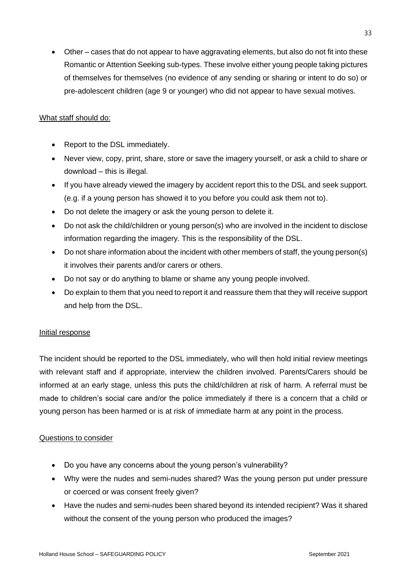• Other – cases that do not appear to have aggravating elements, but also do not fit into these Romantic or Attention Seeking sub-types. These involve either young people taking pictures of themselves for themselves (no evidence of any sending or sharing or intent to do so) or pre-adolescent children (age 9 or younger) who did not appear to have sexual motives.

#### What staff should do:

- Report to the DSL immediately.
- Never view, copy, print, share, store or save the imagery yourself, or ask a child to share or download – this is illegal.
- If you have already viewed the imagery by accident report this to the DSL and seek support. (e.g. if a young person has showed it to you before you could ask them not to).
- Do not delete the imagery or ask the young person to delete it.
- Do not ask the child/children or young person(s) who are involved in the incident to disclose information regarding the imagery. This is the responsibility of the DSL.
- Do not share information about the incident with other members of staff, the young person(s) it involves their parents and/or carers or others.
- Do not say or do anything to blame or shame any young people involved.
- Do explain to them that you need to report it and reassure them that they will receive support and help from the DSL.

#### Initial response

The incident should be reported to the DSL immediately, who will then hold initial review meetings with relevant staff and if appropriate, interview the children involved. Parents/Carers should be informed at an early stage, unless this puts the child/children at risk of harm. A referral must be made to children's social care and/or the police immediately if there is a concern that a child or young person has been harmed or is at risk of immediate harm at any point in the process.

#### Questions to consider

- Do you have any concerns about the young person's vulnerability?
- Why were the nudes and semi-nudes shared? Was the young person put under pressure or coerced or was consent freely given?
- Have the nudes and semi-nudes been shared beyond its intended recipient? Was it shared without the consent of the young person who produced the images?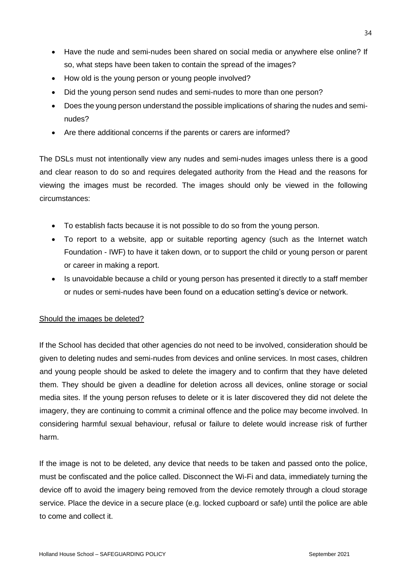- Have the nude and semi-nudes been shared on social media or anywhere else online? If so, what steps have been taken to contain the spread of the images?
- How old is the young person or young people involved?
- Did the young person send nudes and semi-nudes to more than one person?
- Does the young person understand the possible implications of sharing the nudes and seminudes?
- Are there additional concerns if the parents or carers are informed?

The DSLs must not intentionally view any nudes and semi-nudes images unless there is a good and clear reason to do so and requires delegated authority from the Head and the reasons for viewing the images must be recorded. The images should only be viewed in the following circumstances:

- To establish facts because it is not possible to do so from the young person.
- To report to a website, app or suitable reporting agency (such as the Internet watch Foundation - IWF) to have it taken down, or to support the child or young person or parent or career in making a report.
- Is unavoidable because a child or young person has presented it directly to a staff member or nudes or semi-nudes have been found on a education setting's device or network.

#### Should the images be deleted?

If the School has decided that other agencies do not need to be involved, consideration should be given to deleting nudes and semi-nudes from devices and online services. In most cases, children and young people should be asked to delete the imagery and to confirm that they have deleted them. They should be given a deadline for deletion across all devices, online storage or social media sites. If the young person refuses to delete or it is later discovered they did not delete the imagery, they are continuing to commit a criminal offence and the police may become involved. In considering harmful sexual behaviour, refusal or failure to delete would increase risk of further harm.

If the image is not to be deleted, any device that needs to be taken and passed onto the police, must be confiscated and the police called. Disconnect the Wi-Fi and data, immediately turning the device off to avoid the imagery being removed from the device remotely through a cloud storage service. Place the device in a secure place (e.g. locked cupboard or safe) until the police are able to come and collect it.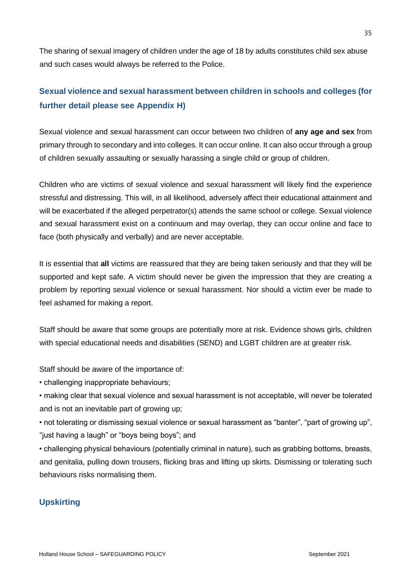The sharing of sexual imagery of children under the age of 18 by adults constitutes child sex abuse and such cases would always be referred to the Police.

## **Sexual violence and sexual harassment between children in schools and colleges (for further detail please see Appendix H)**

Sexual violence and sexual harassment can occur between two children of **any age and sex** from primary through to secondary and into colleges. It can occur online. It can also occur through a group of children sexually assaulting or sexually harassing a single child or group of children.

Children who are victims of sexual violence and sexual harassment will likely find the experience stressful and distressing. This will, in all likelihood, adversely affect their educational attainment and will be exacerbated if the alleged perpetrator(s) attends the same school or college. Sexual violence and sexual harassment exist on a continuum and may overlap, they can occur online and face to face (both physically and verbally) and are never acceptable.

It is essential that **all** victims are reassured that they are being taken seriously and that they will be supported and kept safe. A victim should never be given the impression that they are creating a problem by reporting sexual violence or sexual harassment. Nor should a victim ever be made to feel ashamed for making a report.

Staff should be aware that some groups are potentially more at risk. Evidence shows girls, children with special educational needs and disabilities (SEND) and LGBT children are at greater risk.

Staff should be aware of the importance of:

• challenging inappropriate behaviours;

• making clear that sexual violence and sexual harassment is not acceptable, will never be tolerated and is not an inevitable part of growing up;

• not tolerating or dismissing sexual violence or sexual harassment as "banter", "part of growing up", "just having a laugh" or "boys being boys"; and

• challenging physical behaviours (potentially criminal in nature), such as grabbing bottoms, breasts, and genitalia, pulling down trousers, flicking bras and lifting up skirts. Dismissing or tolerating such behaviours risks normalising them.

## **Upskirting**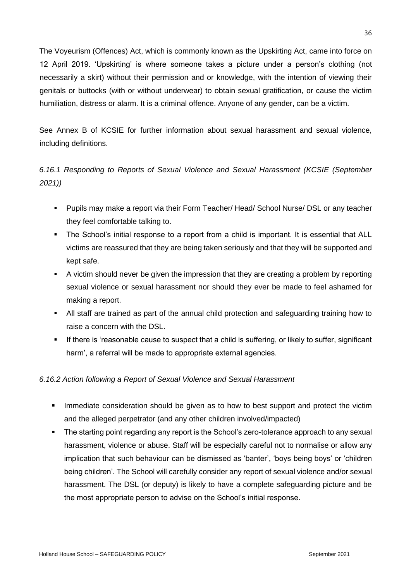The Voyeurism (Offences) Act, which is commonly known as the Upskirting Act, came into force on 12 April 2019. 'Upskirting' is where someone takes a picture under a person's clothing (not necessarily a skirt) without their permission and or knowledge, with the intention of viewing their genitals or buttocks (with or without underwear) to obtain sexual gratification, or cause the victim humiliation, distress or alarm. It is a criminal offence. Anyone of any gender, can be a victim.

See Annex B of KCSIE for further information about sexual harassment and sexual violence, including definitions.

*6.16.1 Responding to Reports of Sexual Violence and Sexual Harassment (KCSIE (September 2021))*

- Pupils may make a report via their Form Teacher/ Head/ School Nurse/ DSL or any teacher they feel comfortable talking to.
- The School's initial response to a report from a child is important. It is essential that ALL victims are reassured that they are being taken seriously and that they will be supported and kept safe.
- A victim should never be given the impression that they are creating a problem by reporting sexual violence or sexual harassment nor should they ever be made to feel ashamed for making a report.
- All staff are trained as part of the annual child protection and safeguarding training how to raise a concern with the DSL.
- If there is 'reasonable cause to suspect that a child is suffering, or likely to suffer, significant harm', a referral will be made to appropriate external agencies.

## *6.16.2 Action following a Report of Sexual Violence and Sexual Harassment*

- Immediate consideration should be given as to how to best support and protect the victim and the alleged perpetrator (and any other children involved/impacted)
- **•** The starting point regarding any report is the School's zero-tolerance approach to any sexual harassment, violence or abuse. Staff will be especially careful not to normalise or allow any implication that such behaviour can be dismissed as 'banter', 'boys being boys' or 'children being children'. The School will carefully consider any report of sexual violence and/or sexual harassment. The DSL (or deputy) is likely to have a complete safeguarding picture and be the most appropriate person to advise on the School's initial response.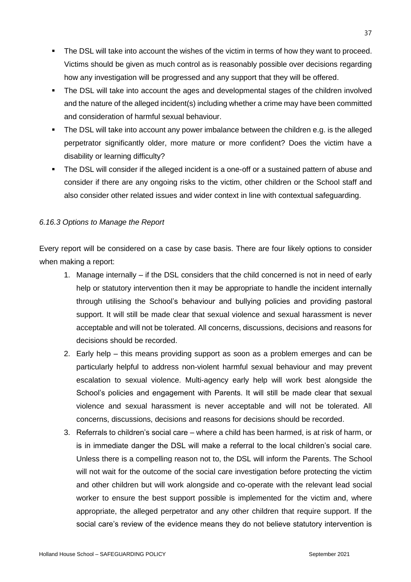- **•** The DSL will take into account the wishes of the victim in terms of how they want to proceed. Victims should be given as much control as is reasonably possible over decisions regarding how any investigation will be progressed and any support that they will be offered.
- The DSL will take into account the ages and developmental stages of the children involved and the nature of the alleged incident(s) including whether a crime may have been committed and consideration of harmful sexual behaviour.
- The DSL will take into account any power imbalance between the children e.g. is the alleged perpetrator significantly older, more mature or more confident? Does the victim have a disability or learning difficulty?
- **•** The DSL will consider if the alleged incident is a one-off or a sustained pattern of abuse and consider if there are any ongoing risks to the victim, other children or the School staff and also consider other related issues and wider context in line with contextual safeguarding.

### *6.16.3 Options to Manage the Report*

Every report will be considered on a case by case basis. There are four likely options to consider when making a report:

- 1. Manage internally if the DSL considers that the child concerned is not in need of early help or statutory intervention then it may be appropriate to handle the incident internally through utilising the School's behaviour and bullying policies and providing pastoral support. It will still be made clear that sexual violence and sexual harassment is never acceptable and will not be tolerated. All concerns, discussions, decisions and reasons for decisions should be recorded.
- 2. Early help this means providing support as soon as a problem emerges and can be particularly helpful to address non-violent harmful sexual behaviour and may prevent escalation to sexual violence. Multi-agency early help will work best alongside the School's policies and engagement with Parents. It will still be made clear that sexual violence and sexual harassment is never acceptable and will not be tolerated. All concerns, discussions, decisions and reasons for decisions should be recorded.
- 3. Referrals to children's social care where a child has been harmed, is at risk of harm, or is in immediate danger the DSL will make a referral to the local children's social care. Unless there is a compelling reason not to, the DSL will inform the Parents. The School will not wait for the outcome of the social care investigation before protecting the victim and other children but will work alongside and co-operate with the relevant lead social worker to ensure the best support possible is implemented for the victim and, where appropriate, the alleged perpetrator and any other children that require support. If the social care's review of the evidence means they do not believe statutory intervention is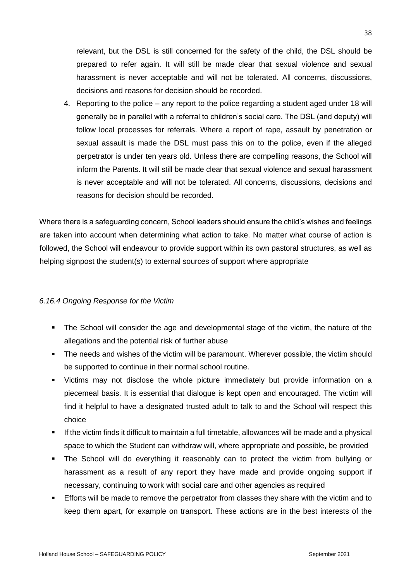relevant, but the DSL is still concerned for the safety of the child, the DSL should be prepared to refer again. It will still be made clear that sexual violence and sexual harassment is never acceptable and will not be tolerated. All concerns, discussions, decisions and reasons for decision should be recorded.

4. Reporting to the police – any report to the police regarding a student aged under 18 will generally be in parallel with a referral to children's social care. The DSL (and deputy) will follow local processes for referrals. Where a report of rape, assault by penetration or sexual assault is made the DSL must pass this on to the police, even if the alleged perpetrator is under ten years old. Unless there are compelling reasons, the School will inform the Parents. It will still be made clear that sexual violence and sexual harassment is never acceptable and will not be tolerated. All concerns, discussions, decisions and reasons for decision should be recorded.

Where there is a safeguarding concern, School leaders should ensure the child's wishes and feelings are taken into account when determining what action to take. No matter what course of action is followed, the School will endeavour to provide support within its own pastoral structures, as well as helping signpost the student(s) to external sources of support where appropriate

### *6.16.4 Ongoing Response for the Victim*

- The School will consider the age and developmental stage of the victim, the nature of the allegations and the potential risk of further abuse
- **•** The needs and wishes of the victim will be paramount. Wherever possible, the victim should be supported to continue in their normal school routine.
- Victims may not disclose the whole picture immediately but provide information on a piecemeal basis. It is essential that dialogue is kept open and encouraged. The victim will find it helpful to have a designated trusted adult to talk to and the School will respect this choice
- If the victim finds it difficult to maintain a full timetable, allowances will be made and a physical space to which the Student can withdraw will, where appropriate and possible, be provided
- The School will do everything it reasonably can to protect the victim from bullying or harassment as a result of any report they have made and provide ongoing support if necessary, continuing to work with social care and other agencies as required
- **•** Efforts will be made to remove the perpetrator from classes they share with the victim and to keep them apart, for example on transport. These actions are in the best interests of the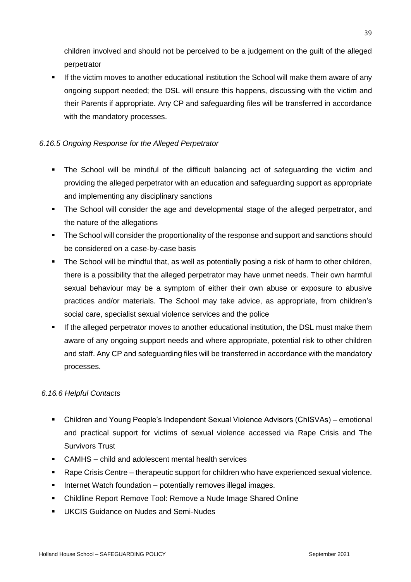children involved and should not be perceived to be a judgement on the guilt of the alleged perpetrator

**•** If the victim moves to another educational institution the School will make them aware of any ongoing support needed; the DSL will ensure this happens, discussing with the victim and their Parents if appropriate. Any CP and safeguarding files will be transferred in accordance with the mandatory processes.

## *6.16.5 Ongoing Response for the Alleged Perpetrator*

- The School will be mindful of the difficult balancing act of safeguarding the victim and providing the alleged perpetrator with an education and safeguarding support as appropriate and implementing any disciplinary sanctions
- The School will consider the age and developmental stage of the alleged perpetrator, and the nature of the allegations
- **•** The School will consider the proportionality of the response and support and sanctions should be considered on a case-by-case basis
- The School will be mindful that, as well as potentially posing a risk of harm to other children, there is a possibility that the alleged perpetrator may have unmet needs. Their own harmful sexual behaviour may be a symptom of either their own abuse or exposure to abusive practices and/or materials. The School may take advice, as appropriate, from children's social care, specialist sexual violence services and the police
- **.** If the alleged perpetrator moves to another educational institution, the DSL must make them aware of any ongoing support needs and where appropriate, potential risk to other children and staff. Any CP and safeguarding files will be transferred in accordance with the mandatory processes.

### *6.16.6 Helpful Contacts*

- Children and Young People's Independent Sexual Violence Advisors (ChISVAs) emotional and practical support for victims of sexual violence accessed via Rape Crisis and The Survivors Trust
- CAMHS child and adolescent mental health services
- Rape Crisis Centre therapeutic support for children who have experienced sexual violence.
- Internet Watch foundation potentially removes illegal images.
- Childline Report Remove Tool: Remove a Nude Image Shared Online
- UKCIS Guidance on Nudes and Semi-Nudes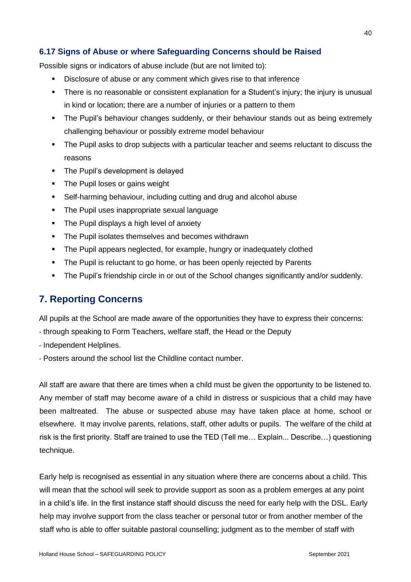## **6.17 Signs of Abuse or where Safeguarding Concerns should be Raised**

Possible signs or indicators of abuse include (but are not limited to):

- Disclosure of abuse or any comment which gives rise to that inference
- **•** There is no reasonable or consistent explanation for a Student's injury; the injury is unusual in kind or location; there are a number of injuries or a pattern to them
- The Pupil's behaviour changes suddenly, or their behaviour stands out as being extremely challenging behaviour or possibly extreme model behaviour
- **The Pupil asks to drop subjects with a particular teacher and seems reluctant to discuss the** reasons
- The Pupil's development is delayed
- The Pupil loses or gains weight
- Self-harming behaviour, including cutting and drug and alcohol abuse
- The Pupil uses inappropriate sexual language
- The Pupil displays a high level of anxiety
- The Pupil isolates themselves and becomes withdrawn
- **•** The Pupil appears neglected, for example, hungry or inadequately clothed
- **•** The Pupil is reluctant to go home, or has been openly rejected by Parents
- **•** The Pupil's friendship circle in or out of the School changes significantly and/or suddenly.

# **7. Reporting Concerns**

All pupils at the School are made aware of the opportunities they have to express their concerns:

- through speaking to Form Teachers, welfare staff, the Head or the Deputy

- Independent Helplines.
- Posters around the school list the Childline contact number.

All staff are aware that there are times when a child must be given the opportunity to be listened to. Any member of staff may become aware of a child in distress or suspicious that a child may have been maltreated. The abuse or suspected abuse may have taken place at home, school or elsewhere. It may involve parents, relations, staff, other adults or pupils. The welfare of the child at risk is the first priority. Staff are trained to use the TED (Tell me… Explain... Describe…) questioning technique.

Early help is recognised as essential in any situation where there are concerns about a child. This will mean that the school will seek to provide support as soon as a problem emerges at any point in a child's life. In the first instance staff should discuss the need for early help with the DSL. Early help may involve support from the class teacher or personal tutor or from another member of the staff who is able to offer suitable pastoral counselling; judgment as to the member of staff with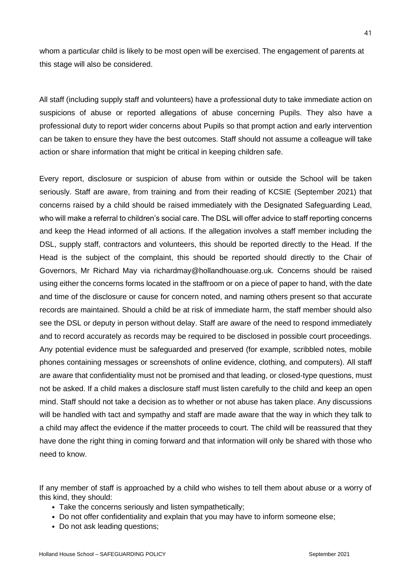whom a particular child is likely to be most open will be exercised. The engagement of parents at this stage will also be considered.

All staff (including supply staff and volunteers) have a professional duty to take immediate action on suspicions of abuse or reported allegations of abuse concerning Pupils. They also have a professional duty to report wider concerns about Pupils so that prompt action and early intervention can be taken to ensure they have the best outcomes. Staff should not assume a colleague will take action or share information that might be critical in keeping children safe.

Every report, disclosure or suspicion of abuse from within or outside the School will be taken seriously. Staff are aware, from training and from their reading of KCSIE (September 2021) that concerns raised by a child should be raised immediately with the Designated Safeguarding Lead, who will make a referral to children's social care. The DSL will offer advice to staff reporting concerns and keep the Head informed of all actions. If the allegation involves a staff member including the DSL, supply staff, contractors and volunteers, this should be reported directly to the Head. If the Head is the subject of the complaint, this should be reported should directly to the Chair of Governors, Mr Richard May via richardmay@hollandhouase.org.uk. Concerns should be raised using either the concerns forms located in the staffroom or on a piece of paper to hand, with the date and time of the disclosure or cause for concern noted, and naming others present so that accurate records are maintained. Should a child be at risk of immediate harm, the staff member should also see the DSL or deputy in person without delay. Staff are aware of the need to respond immediately and to record accurately as records may be required to be disclosed in possible court proceedings. Any potential evidence must be safeguarded and preserved (for example, scribbled notes, mobile phones containing messages or screenshots of online evidence, clothing, and computers). All staff are aware that confidentiality must not be promised and that leading, or closed-type questions, must not be asked. If a child makes a disclosure staff must listen carefully to the child and keep an open mind. Staff should not take a decision as to whether or not abuse has taken place. Any discussions will be handled with tact and sympathy and staff are made aware that the way in which they talk to a child may affect the evidence if the matter proceeds to court. The child will be reassured that they have done the right thing in coming forward and that information will only be shared with those who need to know.

If any member of staff is approached by a child who wishes to tell them about abuse or a worry of this kind, they should:

- Take the concerns seriously and listen sympathetically;
- Do not offer confidentiality and explain that you may have to inform someone else;
- Do not ask leading questions;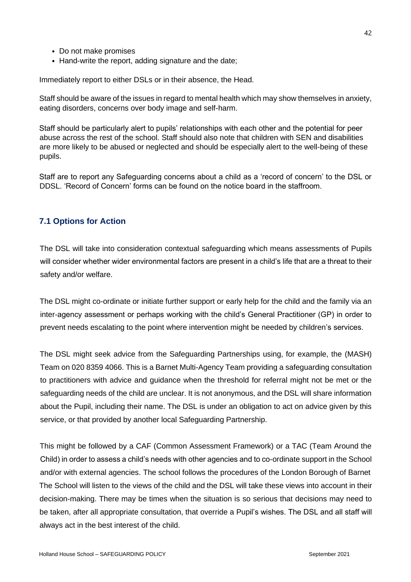- Do not make promises
- Hand-write the report, adding signature and the date;

Immediately report to either DSLs or in their absence, the Head.

Staff should be aware of the issues in regard to mental health which may show themselves in anxiety, eating disorders, concerns over body image and self-harm.

Staff should be particularly alert to pupils' relationships with each other and the potential for peer abuse across the rest of the school. Staff should also note that children with SEN and disabilities are more likely to be abused or neglected and should be especially alert to the well-being of these pupils.

Staff are to report any Safeguarding concerns about a child as a 'record of concern' to the DSL or DDSL. 'Record of Concern' forms can be found on the notice board in the staffroom.

### **7.1 Options for Action**

The DSL will take into consideration contextual safeguarding which means assessments of Pupils will consider whether wider environmental factors are present in a child's life that are a threat to their safety and/or welfare.

The DSL might co-ordinate or initiate further support or early help for the child and the family via an inter-agency assessment or perhaps working with the child's General Practitioner (GP) in order to prevent needs escalating to the point where intervention might be needed by children's services.

The DSL might seek advice from the Safeguarding Partnerships using, for example, the (MASH) Team on 020 8359 4066. This is a Barnet Multi-Agency Team providing a safeguarding consultation to practitioners with advice and guidance when the threshold for referral might not be met or the safeguarding needs of the child are unclear. It is not anonymous, and the DSL will share information about the Pupil, including their name. The DSL is under an obligation to act on advice given by this service, or that provided by another local Safeguarding Partnership.

This might be followed by a CAF (Common Assessment Framework) or a TAC (Team Around the Child) in order to assess a child's needs with other agencies and to co-ordinate support in the School and/or with external agencies. The school follows the procedures of the London Borough of Barnet The School will listen to the views of the child and the DSL will take these views into account in their decision-making. There may be times when the situation is so serious that decisions may need to be taken, after all appropriate consultation, that override a Pupil's wishes. The DSL and all staff will always act in the best interest of the child.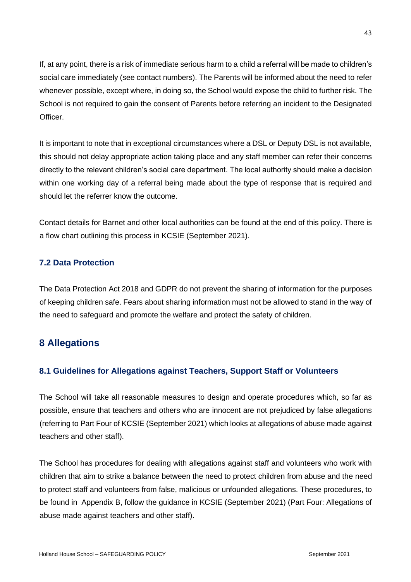If, at any point, there is a risk of immediate serious harm to a child a referral will be made to children's social care immediately (see contact numbers). The Parents will be informed about the need to refer whenever possible, except where, in doing so, the School would expose the child to further risk. The School is not required to gain the consent of Parents before referring an incident to the Designated Officer.

It is important to note that in exceptional circumstances where a DSL or Deputy DSL is not available, this should not delay appropriate action taking place and any staff member can refer their concerns directly to the relevant children's social care department. The local authority should make a decision within one working day of a referral being made about the type of response that is required and should let the referrer know the outcome.

Contact details for Barnet and other local authorities can be found at the end of this policy. There is a flow chart outlining this process in KCSIE (September 2021).

## **7.2 Data Protection**

The Data Protection Act 2018 and GDPR do not prevent the sharing of information for the purposes of keeping children safe. Fears about sharing information must not be allowed to stand in the way of the need to safeguard and promote the welfare and protect the safety of children.

# **8 Allegations**

## **8.1 Guidelines for Allegations against Teachers, Support Staff or Volunteers**

The School will take all reasonable measures to design and operate procedures which, so far as possible, ensure that teachers and others who are innocent are not prejudiced by false allegations (referring to Part Four of KCSIE (September 2021) which looks at allegations of abuse made against teachers and other staff).

The School has procedures for dealing with allegations against staff and volunteers who work with children that aim to strike a balance between the need to protect children from abuse and the need to protect staff and volunteers from false, malicious or unfounded allegations. These procedures, to be found in Appendix B, follow the guidance in KCSIE (September 2021) (Part Four: Allegations of abuse made against teachers and other staff).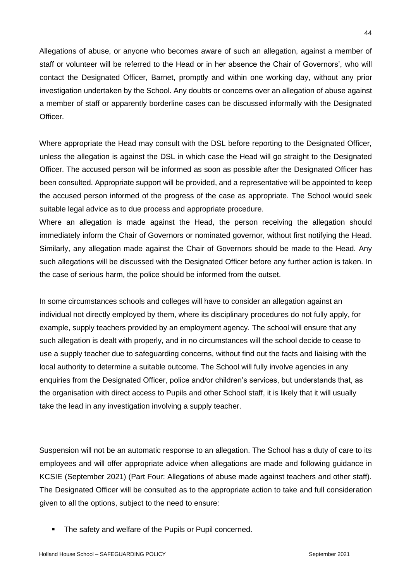Allegations of abuse, or anyone who becomes aware of such an allegation, against a member of staff or volunteer will be referred to the Head or in her absence the Chair of Governors', who will contact the Designated Officer, Barnet, promptly and within one working day, without any prior investigation undertaken by the School. Any doubts or concerns over an allegation of abuse against a member of staff or apparently borderline cases can be discussed informally with the Designated Officer.

Where appropriate the Head may consult with the DSL before reporting to the Designated Officer, unless the allegation is against the DSL in which case the Head will go straight to the Designated Officer. The accused person will be informed as soon as possible after the Designated Officer has been consulted. Appropriate support will be provided, and a representative will be appointed to keep the accused person informed of the progress of the case as appropriate. The School would seek suitable legal advice as to due process and appropriate procedure.

Where an allegation is made against the Head, the person receiving the allegation should immediately inform the Chair of Governors or nominated governor, without first notifying the Head. Similarly, any allegation made against the Chair of Governors should be made to the Head. Any such allegations will be discussed with the Designated Officer before any further action is taken. In the case of serious harm, the police should be informed from the outset.

In some circumstances schools and colleges will have to consider an allegation against an individual not directly employed by them, where its disciplinary procedures do not fully apply, for example, supply teachers provided by an employment agency. The school will ensure that any such allegation is dealt with properly, and in no circumstances will the school decide to cease to use a supply teacher due to safeguarding concerns, without find out the facts and liaising with the local authority to determine a suitable outcome. The School will fully involve agencies in any enquiries from the Designated Officer, police and/or children's services, but understands that, as the organisation with direct access to Pupils and other School staff, it is likely that it will usually take the lead in any investigation involving a supply teacher.

Suspension will not be an automatic response to an allegation. The School has a duty of care to its employees and will offer appropriate advice when allegations are made and following guidance in KCSIE (September 2021) (Part Four: Allegations of abuse made against teachers and other staff). The Designated Officer will be consulted as to the appropriate action to take and full consideration given to all the options, subject to the need to ensure:

The safety and welfare of the Pupils or Pupil concerned.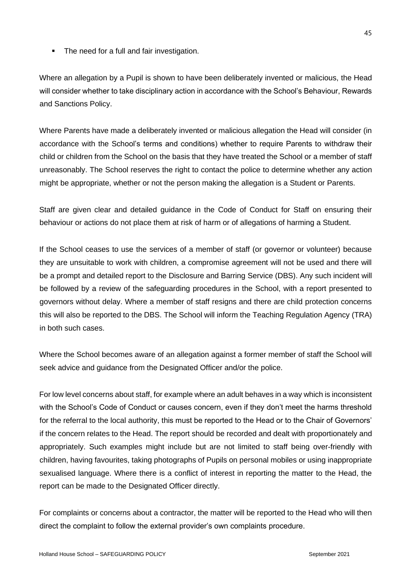**•** The need for a full and fair investigation.

Where an allegation by a Pupil is shown to have been deliberately invented or malicious, the Head will consider whether to take disciplinary action in accordance with the School's Behaviour, Rewards and Sanctions Policy.

Where Parents have made a deliberately invented or malicious allegation the Head will consider (in accordance with the School's terms and conditions) whether to require Parents to withdraw their child or children from the School on the basis that they have treated the School or a member of staff unreasonably. The School reserves the right to contact the police to determine whether any action might be appropriate, whether or not the person making the allegation is a Student or Parents.

Staff are given clear and detailed guidance in the Code of Conduct for Staff on ensuring their behaviour or actions do not place them at risk of harm or of allegations of harming a Student.

If the School ceases to use the services of a member of staff (or governor or volunteer) because they are unsuitable to work with children, a compromise agreement will not be used and there will be a prompt and detailed report to the Disclosure and Barring Service (DBS). Any such incident will be followed by a review of the safeguarding procedures in the School, with a report presented to governors without delay. Where a member of staff resigns and there are child protection concerns this will also be reported to the DBS. The School will inform the Teaching Regulation Agency (TRA) in both such cases.

Where the School becomes aware of an allegation against a former member of staff the School will seek advice and guidance from the Designated Officer and/or the police.

For low level concerns about staff, for example where an adult behaves in a way which is inconsistent with the School's Code of Conduct or causes concern, even if they don't meet the harms threshold for the referral to the local authority, this must be reported to the Head or to the Chair of Governors' if the concern relates to the Head. The report should be recorded and dealt with proportionately and appropriately. Such examples might include but are not limited to staff being over-friendly with children, having favourites, taking photographs of Pupils on personal mobiles or using inappropriate sexualised language. Where there is a conflict of interest in reporting the matter to the Head, the report can be made to the Designated Officer directly.

For complaints or concerns about a contractor, the matter will be reported to the Head who will then direct the complaint to follow the external provider's own complaints procedure.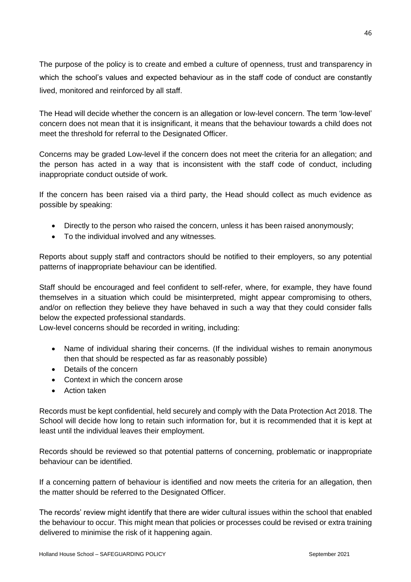The purpose of the policy is to create and embed a culture of openness, trust and transparency in which the school's values and expected behaviour as in the staff code of conduct are constantly lived, monitored and reinforced by all staff.

The Head will decide whether the concern is an allegation or low-level concern. The term 'low-level' concern does not mean that it is insignificant, it means that the behaviour towards a child does not meet the threshold for referral to the Designated Officer.

Concerns may be graded Low-level if the concern does not meet the criteria for an allegation; and the person has acted in a way that is inconsistent with the staff code of conduct, including inappropriate conduct outside of work.

If the concern has been raised via a third party, the Head should collect as much evidence as possible by speaking:

- Directly to the person who raised the concern, unless it has been raised anonymously;
- To the individual involved and any witnesses.

Reports about supply staff and contractors should be notified to their employers, so any potential patterns of inappropriate behaviour can be identified.

Staff should be encouraged and feel confident to self-refer, where, for example, they have found themselves in a situation which could be misinterpreted, might appear compromising to others, and/or on reflection they believe they have behaved in such a way that they could consider falls below the expected professional standards.

Low-level concerns should be recorded in writing, including:

- Name of individual sharing their concerns. (If the individual wishes to remain anonymous then that should be respected as far as reasonably possible)
- Details of the concern
- Context in which the concern arose
- Action taken

Records must be kept confidential, held securely and comply with the Data Protection Act 2018. The School will decide how long to retain such information for, but it is recommended that it is kept at least until the individual leaves their employment.

Records should be reviewed so that potential patterns of concerning, problematic or inappropriate behaviour can be identified.

If a concerning pattern of behaviour is identified and now meets the criteria for an allegation, then the matter should be referred to the Designated Officer.

The records' review might identify that there are wider cultural issues within the school that enabled the behaviour to occur. This might mean that policies or processes could be revised or extra training delivered to minimise the risk of it happening again.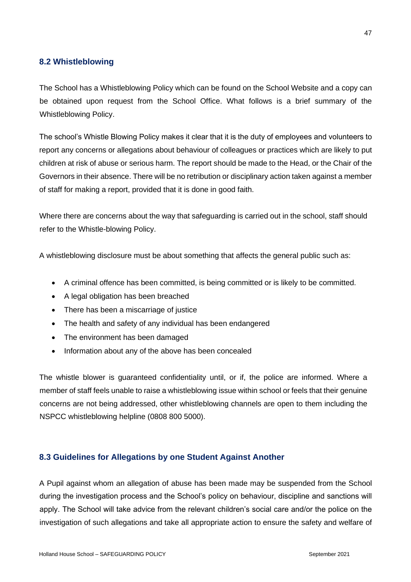## **8.2 Whistleblowing**

The School has a Whistleblowing Policy which can be found on the School Website and a copy can be obtained upon request from the School Office. What follows is a brief summary of the Whistleblowing Policy.

The school's Whistle Blowing Policy makes it clear that it is the duty of employees and volunteers to report any concerns or allegations about behaviour of colleagues or practices which are likely to put children at risk of abuse or serious harm. The report should be made to the Head, or the Chair of the Governors in their absence. There will be no retribution or disciplinary action taken against a member of staff for making a report, provided that it is done in good faith.

Where there are concerns about the way that safeguarding is carried out in the school, staff should refer to the Whistle-blowing Policy.

A whistleblowing disclosure must be about something that affects the general public such as:

- A criminal offence has been committed, is being committed or is likely to be committed.
- A legal obligation has been breached
- There has been a miscarriage of justice
- The health and safety of any individual has been endangered
- The environment has been damaged
- Information about any of the above has been concealed

The whistle blower is guaranteed confidentiality until, or if, the police are informed. Where a member of staff feels unable to raise a whistleblowing issue within school or feels that their genuine concerns are not being addressed, other whistleblowing channels are open to them including the NSPCC whistleblowing helpline (0808 800 5000).

## **8.3 Guidelines for Allegations by one Student Against Another**

A Pupil against whom an allegation of abuse has been made may be suspended from the School during the investigation process and the School's policy on behaviour, discipline and sanctions will apply. The School will take advice from the relevant children's social care and/or the police on the investigation of such allegations and take all appropriate action to ensure the safety and welfare of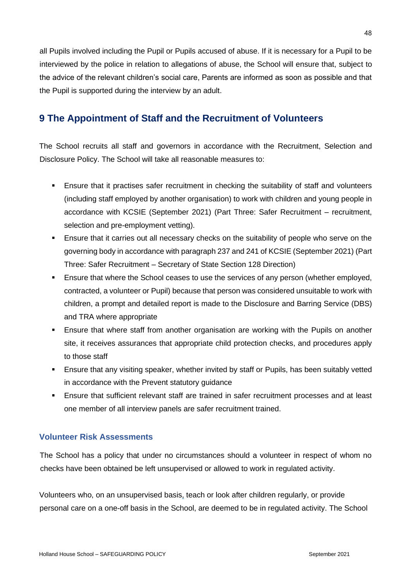all Pupils involved including the Pupil or Pupils accused of abuse. If it is necessary for a Pupil to be interviewed by the police in relation to allegations of abuse, the School will ensure that, subject to the advice of the relevant children's social care, Parents are informed as soon as possible and that the Pupil is supported during the interview by an adult.

# **9 The Appointment of Staff and the Recruitment of Volunteers**

The School recruits all staff and governors in accordance with the Recruitment, Selection and Disclosure Policy. The School will take all reasonable measures to:

- Ensure that it practises safer recruitment in checking the suitability of staff and volunteers (including staff employed by another organisation) to work with children and young people in accordance with KCSIE (September 2021) (Part Three: Safer Recruitment – recruitment, selection and pre-employment vetting).
- **Ensure that it carries out all necessary checks on the suitability of people who serve on the** governing body in accordance with paragraph 237 and 241 of KCSIE (September 2021) (Part Three: Safer Recruitment – Secretary of State Section 128 Direction)
- Ensure that where the School ceases to use the services of any person (whether employed, contracted, a volunteer or Pupil) because that person was considered unsuitable to work with children, a prompt and detailed report is made to the Disclosure and Barring Service (DBS) and TRA where appropriate
- **Ensure that where staff from another organisation are working with the Pupils on another** site, it receives assurances that appropriate child protection checks, and procedures apply to those staff
- **Ensure that any visiting speaker, whether invited by staff or Pupils, has been suitably vetted** in accordance with the Prevent statutory guidance
- Ensure that sufficient relevant staff are trained in safer recruitment processes and at least one member of all interview panels are safer recruitment trained.

## **Volunteer Risk Assessments**

The School has a policy that under no circumstances should a volunteer in respect of whom no checks have been obtained be left unsupervised or allowed to work in regulated activity.

Volunteers who, on an unsupervised basis, teach or look after children regularly, or provide personal care on a one-off basis in the School, are deemed to be in regulated activity. The School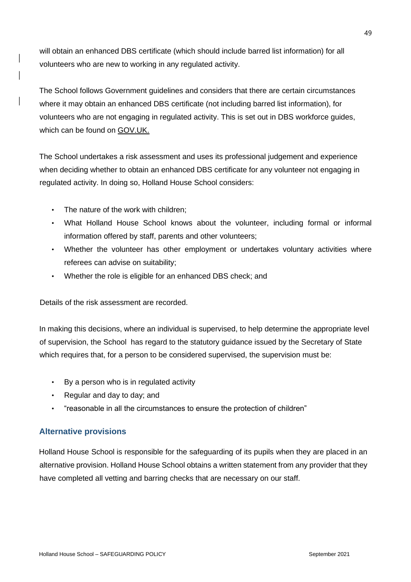will obtain an enhanced DBS certificate (which should include barred list information) for all volunteers who are new to working in any regulated activity.

The School follows Government guidelines and considers that there are certain circumstances where it may obtain an enhanced DBS certificate (not including barred list information), for volunteers who are not engaging in regulated activity. This is set out in DBS workforce guides, which can be found on GOV.UK.

The School undertakes a risk assessment and uses its professional judgement and experience when deciding whether to obtain an enhanced DBS certificate for any volunteer not engaging in regulated activity. In doing so, Holland House School considers:

- The nature of the work with children;
- What Holland House School knows about the volunteer, including formal or informal information offered by staff, parents and other volunteers;
- Whether the volunteer has other employment or undertakes voluntary activities where referees can advise on suitability;
- Whether the role is eligible for an enhanced DBS check; and

Details of the risk assessment are recorded.

In making this decisions, where an individual is supervised, to help determine the appropriate level of supervision, the School has regard to the statutory guidance issued by the Secretary of State which requires that, for a person to be considered supervised, the supervision must be:

- By a person who is in regulated activity
- Regular and day to day; and
- "reasonable in all the circumstances to ensure the protection of children"

## **Alternative provisions**

Holland House School is responsible for the safeguarding of its pupils when they are placed in an alternative provision. Holland House School obtains a written statement from any provider that they have completed all vetting and barring checks that are necessary on our staff.

Holland House School – SAFEGUARDING POLICY September 2021

49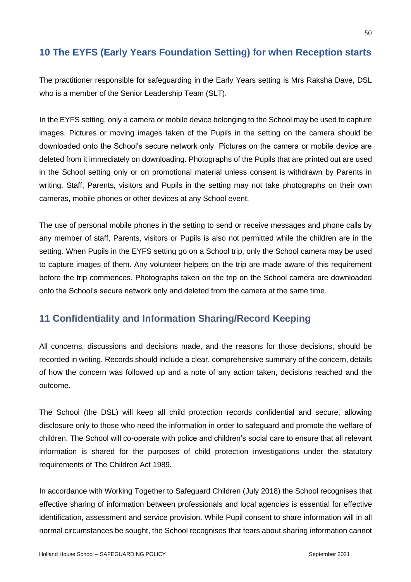# **10 The EYFS (Early Years Foundation Setting) for when Reception starts**

The practitioner responsible for safeguarding in the Early Years setting is Mrs Raksha Dave, DSL who is a member of the Senior Leadership Team (SLT).

In the EYFS setting, only a camera or mobile device belonging to the School may be used to capture images. Pictures or moving images taken of the Pupils in the setting on the camera should be downloaded onto the School's secure network only. Pictures on the camera or mobile device are deleted from it immediately on downloading. Photographs of the Pupils that are printed out are used in the School setting only or on promotional material unless consent is withdrawn by Parents in writing. Staff, Parents, visitors and Pupils in the setting may not take photographs on their own cameras, mobile phones or other devices at any School event.

The use of personal mobile phones in the setting to send or receive messages and phone calls by any member of staff, Parents, visitors or Pupils is also not permitted while the children are in the setting. When Pupils in the EYFS setting go on a School trip, only the School camera may be used to capture images of them. Any volunteer helpers on the trip are made aware of this requirement before the trip commences. Photographs taken on the trip on the School camera are downloaded onto the School's secure network only and deleted from the camera at the same time.

# **11 Confidentiality and Information Sharing/Record Keeping**

All concerns, discussions and decisions made, and the reasons for those decisions, should be recorded in writing. Records should include a clear, comprehensive summary of the concern, details of how the concern was followed up and a note of any action taken, decisions reached and the outcome.

The School (the DSL) will keep all child protection records confidential and secure, allowing disclosure only to those who need the information in order to safeguard and promote the welfare of children. The School will co-operate with police and children's social care to ensure that all relevant information is shared for the purposes of child protection investigations under the statutory requirements of The Children Act 1989.

In accordance with Working Together to Safeguard Children (July 2018) the School recognises that effective sharing of information between professionals and local agencies is essential for effective identification, assessment and service provision. While Pupil consent to share information will in all normal circumstances be sought, the School recognises that fears about sharing information cannot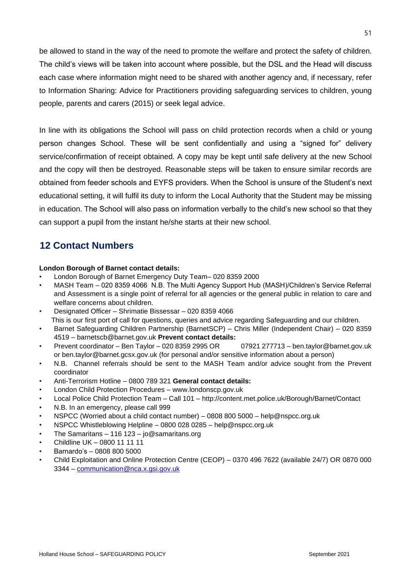be allowed to stand in the way of the need to promote the welfare and protect the safety of children. The child's views will be taken into account where possible, but the DSL and the Head will discuss each case where information might need to be shared with another agency and, if necessary, refer to Information Sharing: Advice for Practitioners providing safeguarding services to children, young people, parents and carers (2015) or seek legal advice.

In line with its obligations the School will pass on child protection records when a child or young person changes School. These will be sent confidentially and using a "signed for" delivery service/confirmation of receipt obtained. A copy may be kept until safe delivery at the new School and the copy will then be destroyed. Reasonable steps will be taken to ensure similar records are obtained from feeder schools and EYFS providers. When the School is unsure of the Student's next educational setting, it will fulfil its duty to inform the Local Authority that the Student may be missing in education. The School will also pass on information verbally to the child's new school so that they can support a pupil from the instant he/she starts at their new school.

# **12 Contact Numbers**

### **London Borough of Barnet contact details:**

- London Borough of Barnet Emergency Duty Team– 020 8359 2000
- MASH Team 020 8359 4066 N.B. The Multi Agency Support Hub (MASH)/Children's Service Referral and Assessment is a single point of referral for all agencies or the general public in relation to care and welfare concerns about children.
- Designated Officer Shrimatie Bissessar 020 8359 4066 This is our first port of call for questions, queries and advice regarding Safeguarding and our children.
- Barnet Safeguarding Children Partnership (BarnetSCP) Chris Miller (Independent Chair) 020 8359 4519 – barnetscb@barnet.gov.uk **Prevent contact details:**
- Prevent coordinator Ben Taylor 020 8359 2995 OR 07921 277713 ben.taylor@barnet.gov.uk or ben.taylor@barnet.gcsx.gov.uk (for personal and/or sensitive information about a person)
- N.B. Channel referrals should be sent to the MASH Team and/or advice sought from the Prevent coordinator
- Anti-Terrorism Hotline 0800 789 321 **General contact details:**
- London Child Protection Procedures www.londonscp.gov.uk
- Local Police Child Protection Team Call 101 http://content.met.police.uk/Borough/Barnet/Contact
- N.B. In an emergency, please call 999
- NSPCC (Worried about a child contact number) 0808 800 5000 help@nspcc.org.uk
- NSPCC Whistleblowing Helpline 0800 028 0285 help@nspcc.org.uk
- The Samaritans 116 123 jo@samaritans.org
- Childline UK 0800 11 11 11
- Barnardo's 0808 800 5000
- Child Exploitation and Online Protection Centre (CEOP) 0370 496 7622 (available 24/7) OR 0870 000 3344 – communication@nca.x.gsi.gov.uk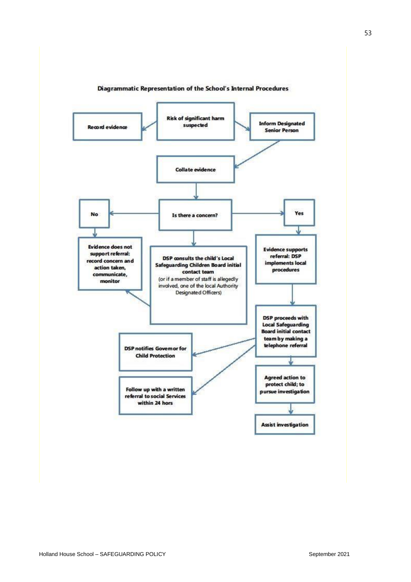

#### Diagrammatic Representation of the School's Internal Procedures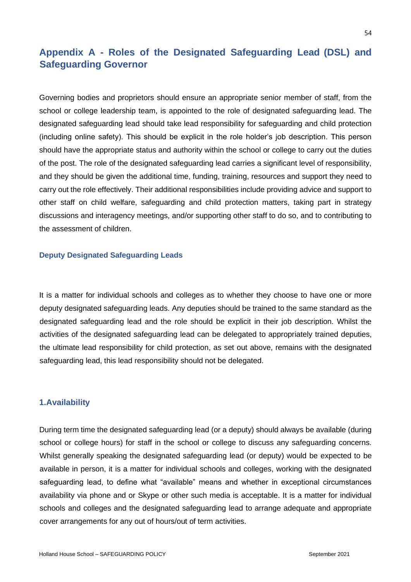# **Appendix A - Roles of the Designated Safeguarding Lead (DSL) and Safeguarding Governor**

Governing bodies and proprietors should ensure an appropriate senior member of staff, from the school or college leadership team, is appointed to the role of designated safeguarding lead. The designated safeguarding lead should take lead responsibility for safeguarding and child protection (including online safety). This should be explicit in the role holder's job description. This person should have the appropriate status and authority within the school or college to carry out the duties of the post. The role of the designated safeguarding lead carries a significant level of responsibility, and they should be given the additional time, funding, training, resources and support they need to carry out the role effectively. Their additional responsibilities include providing advice and support to other staff on child welfare, safeguarding and child protection matters, taking part in strategy discussions and interagency meetings, and/or supporting other staff to do so, and to contributing to the assessment of children.

### **Deputy Designated Safeguarding Leads**

It is a matter for individual schools and colleges as to whether they choose to have one or more deputy designated safeguarding leads. Any deputies should be trained to the same standard as the designated safeguarding lead and the role should be explicit in their job description. Whilst the activities of the designated safeguarding lead can be delegated to appropriately trained deputies, the ultimate lead responsibility for child protection, as set out above, remains with the designated safeguarding lead, this lead responsibility should not be delegated.

### **1.Availability**

During term time the designated safeguarding lead (or a deputy) should always be available (during school or college hours) for staff in the school or college to discuss any safeguarding concerns. Whilst generally speaking the designated safeguarding lead (or deputy) would be expected to be available in person, it is a matter for individual schools and colleges, working with the designated safeguarding lead, to define what "available" means and whether in exceptional circumstances availability via phone and or Skype or other such media is acceptable. It is a matter for individual schools and colleges and the designated safeguarding lead to arrange adequate and appropriate cover arrangements for any out of hours/out of term activities.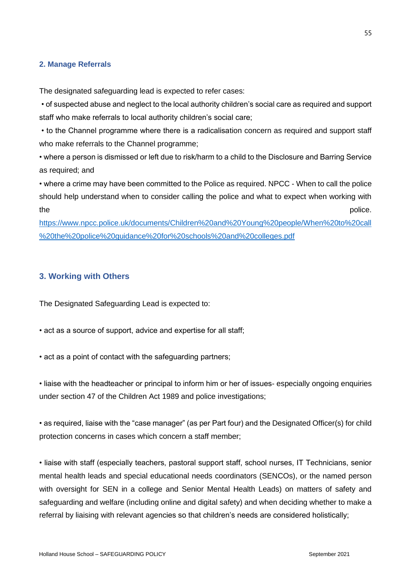### **2. Manage Referrals**

The designated safeguarding lead is expected to refer cases:

• of suspected abuse and neglect to the local authority children's social care as required and support staff who make referrals to local authority children's social care;

• to the Channel programme where there is a radicalisation concern as required and support staff who make referrals to the Channel programme;

• where a person is dismissed or left due to risk/harm to a child to the Disclosure and Barring Service as required; and

• where a crime may have been committed to the Police as required. NPCC - When to call the police should help understand when to consider calling the police and what to expect when working with the police.

[https://www.npcc.police.uk/documents/Children%20and%20Young%20people/When%20to%20call](https://www.npcc.police.uk/documents/Children%20and%20Young%20people/When%20to%20call%20the%20police%20guidance%20for%20schools%20and%20colleges.pdf) [%20the%20police%20guidance%20for%20schools%20and%20colleges.pdf](https://www.npcc.police.uk/documents/Children%20and%20Young%20people/When%20to%20call%20the%20police%20guidance%20for%20schools%20and%20colleges.pdf)

### **3. Working with Others**

The Designated Safeguarding Lead is expected to:

- act as a source of support, advice and expertise for all staff;
- act as a point of contact with the safeguarding partners;

• liaise with the headteacher or principal to inform him or her of issues- especially ongoing enquiries under section 47 of the Children Act 1989 and police investigations;

• as required, liaise with the "case manager" (as per Part four) and the Designated Officer(s) for child protection concerns in cases which concern a staff member;

• liaise with staff (especially teachers, pastoral support staff, school nurses, IT Technicians, senior mental health leads and special educational needs coordinators (SENCOs), or the named person with oversight for SEN in a college and Senior Mental Health Leads) on matters of safety and safeguarding and welfare (including online and digital safety) and when deciding whether to make a referral by liaising with relevant agencies so that children's needs are considered holistically;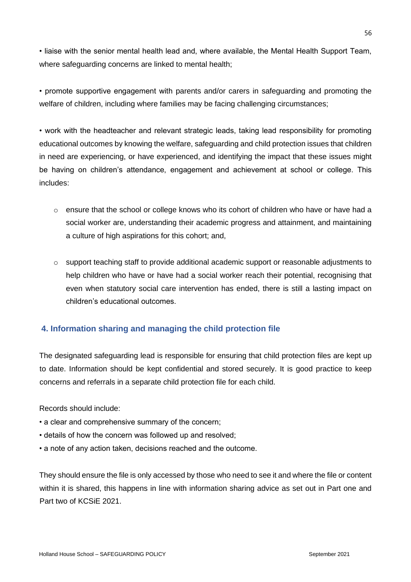• liaise with the senior mental health lead and, where available, the Mental Health Support Team, where safeguarding concerns are linked to mental health;

• promote supportive engagement with parents and/or carers in safeguarding and promoting the welfare of children, including where families may be facing challenging circumstances;

• work with the headteacher and relevant strategic leads, taking lead responsibility for promoting educational outcomes by knowing the welfare, safeguarding and child protection issues that children in need are experiencing, or have experienced, and identifying the impact that these issues might be having on children's attendance, engagement and achievement at school or college. This includes:

- o ensure that the school or college knows who its cohort of children who have or have had a social worker are, understanding their academic progress and attainment, and maintaining a culture of high aspirations for this cohort; and,
- o support teaching staff to provide additional academic support or reasonable adjustments to help children who have or have had a social worker reach their potential, recognising that even when statutory social care intervention has ended, there is still a lasting impact on children's educational outcomes.

## **4. Information sharing and managing the child protection file**

The designated safeguarding lead is responsible for ensuring that child protection files are kept up to date. Information should be kept confidential and stored securely. It is good practice to keep concerns and referrals in a separate child protection file for each child.

Records should include:

- a clear and comprehensive summary of the concern;
- details of how the concern was followed up and resolved;
- a note of any action taken, decisions reached and the outcome.

They should ensure the file is only accessed by those who need to see it and where the file or content within it is shared, this happens in line with information sharing advice as set out in Part one and Part two of KCSiE 2021.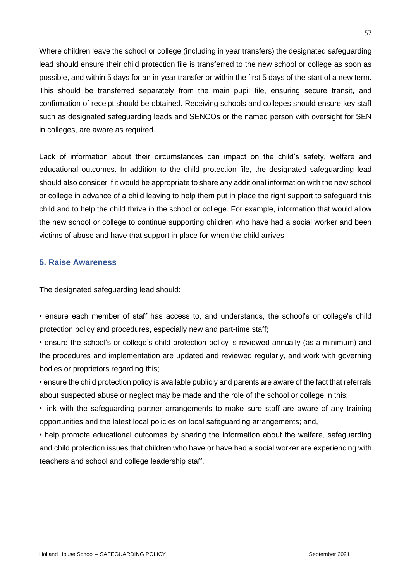Where children leave the school or college (including in year transfers) the designated safeguarding lead should ensure their child protection file is transferred to the new school or college as soon as possible, and within 5 days for an in-year transfer or within the first 5 days of the start of a new term. This should be transferred separately from the main pupil file, ensuring secure transit, and confirmation of receipt should be obtained. Receiving schools and colleges should ensure key staff such as designated safeguarding leads and SENCOs or the named person with oversight for SEN in colleges, are aware as required.

Lack of information about their circumstances can impact on the child's safety, welfare and educational outcomes. In addition to the child protection file, the designated safeguarding lead should also consider if it would be appropriate to share any additional information with the new school or college in advance of a child leaving to help them put in place the right support to safeguard this child and to help the child thrive in the school or college. For example, information that would allow the new school or college to continue supporting children who have had a social worker and been victims of abuse and have that support in place for when the child arrives.

### **5. Raise Awareness**

The designated safeguarding lead should:

• ensure each member of staff has access to, and understands, the school's or college's child protection policy and procedures, especially new and part-time staff;

• ensure the school's or college's child protection policy is reviewed annually (as a minimum) and the procedures and implementation are updated and reviewed regularly, and work with governing bodies or proprietors regarding this;

• ensure the child protection policy is available publicly and parents are aware of the fact that referrals about suspected abuse or neglect may be made and the role of the school or college in this;

• link with the safeguarding partner arrangements to make sure staff are aware of any training opportunities and the latest local policies on local safeguarding arrangements; and,

• help promote educational outcomes by sharing the information about the welfare, safeguarding and child protection issues that children who have or have had a social worker are experiencing with teachers and school and college leadership staff.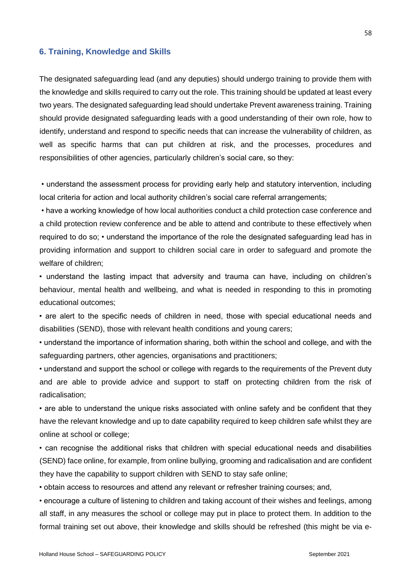### **6. Training, Knowledge and Skills**

The designated safeguarding lead (and any deputies) should undergo training to provide them with the knowledge and skills required to carry out the role. This training should be updated at least every two years. The designated safeguarding lead should undertake Prevent awareness training. Training should provide designated safeguarding leads with a good understanding of their own role, how to identify, understand and respond to specific needs that can increase the vulnerability of children, as well as specific harms that can put children at risk, and the processes, procedures and responsibilities of other agencies, particularly children's social care, so they:

• understand the assessment process for providing early help and statutory intervention, including local criteria for action and local authority children's social care referral arrangements;

• have a working knowledge of how local authorities conduct a child protection case conference and a child protection review conference and be able to attend and contribute to these effectively when required to do so; • understand the importance of the role the designated safeguarding lead has in providing information and support to children social care in order to safeguard and promote the welfare of children;

• understand the lasting impact that adversity and trauma can have, including on children's behaviour, mental health and wellbeing, and what is needed in responding to this in promoting educational outcomes;

• are alert to the specific needs of children in need, those with special educational needs and disabilities (SEND), those with relevant health conditions and young carers;

• understand the importance of information sharing, both within the school and college, and with the safeguarding partners, other agencies, organisations and practitioners;

• understand and support the school or college with regards to the requirements of the Prevent duty and are able to provide advice and support to staff on protecting children from the risk of radicalisation;

• are able to understand the unique risks associated with online safety and be confident that they have the relevant knowledge and up to date capability required to keep children safe whilst they are online at school or college;

• can recognise the additional risks that children with special educational needs and disabilities (SEND) face online, for example, from online bullying, grooming and radicalisation and are confident they have the capability to support children with SEND to stay safe online;

• obtain access to resources and attend any relevant or refresher training courses; and,

• encourage a culture of listening to children and taking account of their wishes and feelings, among all staff, in any measures the school or college may put in place to protect them. In addition to the formal training set out above, their knowledge and skills should be refreshed (this might be via e-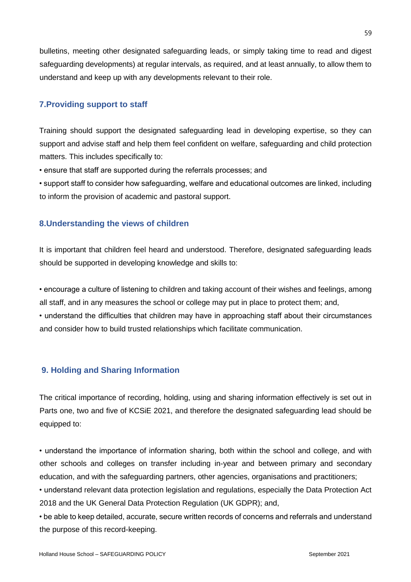bulletins, meeting other designated safeguarding leads, or simply taking time to read and digest safeguarding developments) at regular intervals, as required, and at least annually, to allow them to understand and keep up with any developments relevant to their role.

## **7.Providing support to staff**

Training should support the designated safeguarding lead in developing expertise, so they can support and advise staff and help them feel confident on welfare, safeguarding and child protection matters. This includes specifically to:

• ensure that staff are supported during the referrals processes; and

• support staff to consider how safeguarding, welfare and educational outcomes are linked, including to inform the provision of academic and pastoral support.

## **8.Understanding the views of children**

It is important that children feel heard and understood. Therefore, designated safeguarding leads should be supported in developing knowledge and skills to:

• encourage a culture of listening to children and taking account of their wishes and feelings, among all staff, and in any measures the school or college may put in place to protect them; and, • understand the difficulties that children may have in approaching staff about their circumstances and consider how to build trusted relationships which facilitate communication.

## **9. Holding and Sharing Information**

The critical importance of recording, holding, using and sharing information effectively is set out in Parts one, two and five of KCSiE 2021, and therefore the designated safeguarding lead should be equipped to:

• understand the importance of information sharing, both within the school and college, and with other schools and colleges on transfer including in-year and between primary and secondary education, and with the safeguarding partners, other agencies, organisations and practitioners;

• understand relevant data protection legislation and regulations, especially the Data Protection Act 2018 and the UK General Data Protection Regulation (UK GDPR); and,

• be able to keep detailed, accurate, secure written records of concerns and referrals and understand the purpose of this record-keeping.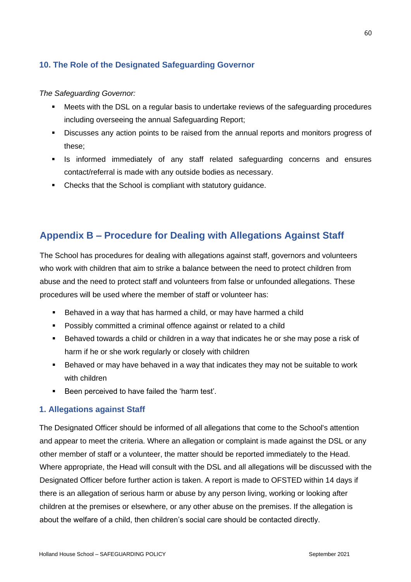## **10. The Role of the Designated Safeguarding Governor**

### *The Safeguarding Governor:*

- Meets with the DSL on a regular basis to undertake reviews of the safeguarding procedures including overseeing the annual Safeguarding Report;
- **•** Discusses any action points to be raised from the annual reports and monitors progress of these;
- **EXT** Is informed immediately of any staff related safeguarding concerns and ensures contact/referral is made with any outside bodies as necessary.
- Checks that the School is compliant with statutory quidance.

# **Appendix B – Procedure for Dealing with Allegations Against Staff**

The School has procedures for dealing with allegations against staff, governors and volunteers who work with children that aim to strike a balance between the need to protect children from abuse and the need to protect staff and volunteers from false or unfounded allegations. These procedures will be used where the member of staff or volunteer has:

- Behaved in a way that has harmed a child, or may have harmed a child
- Possibly committed a criminal offence against or related to a child
- Behaved towards a child or children in a way that indicates he or she may pose a risk of harm if he or she work regularly or closely with children
- Behaved or may have behaved in a way that indicates they may not be suitable to work with children
- Been perceived to have failed the 'harm test'.

## **1. Allegations against Staff**

The Designated Officer should be informed of all allegations that come to the School's attention and appear to meet the criteria. Where an allegation or complaint is made against the DSL or any other member of staff or a volunteer, the matter should be reported immediately to the Head. Where appropriate, the Head will consult with the DSL and all allegations will be discussed with the Designated Officer before further action is taken. A report is made to OFSTED within 14 days if there is an allegation of serious harm or abuse by any person living, working or looking after children at the premises or elsewhere, or any other abuse on the premises. If the allegation is about the welfare of a child, then children's social care should be contacted directly.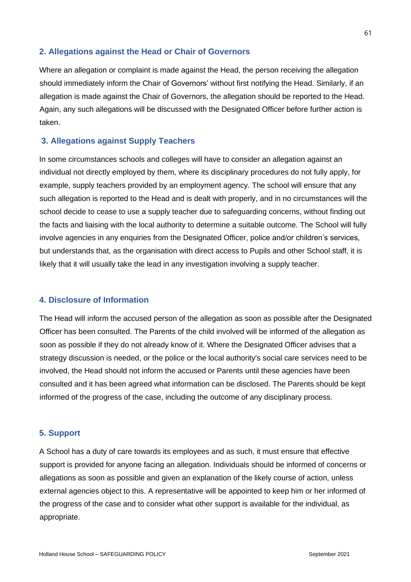### **2. Allegations against the Head or Chair of Governors**

Where an allegation or complaint is made against the Head, the person receiving the allegation should immediately inform the Chair of Governors' without first notifying the Head. Similarly, if an allegation is made against the Chair of Governors, the allegation should be reported to the Head. Again, any such allegations will be discussed with the Designated Officer before further action is taken.

## **3. Allegations against Supply Teachers**

In some circumstances schools and colleges will have to consider an allegation against an individual not directly employed by them, where its disciplinary procedures do not fully apply, for example, supply teachers provided by an employment agency. The school will ensure that any such allegation is reported to the Head and is dealt with properly, and in no circumstances will the school decide to cease to use a supply teacher due to safeguarding concerns, without finding out the facts and liaising with the local authority to determine a suitable outcome. The School will fully involve agencies in any enquiries from the Designated Officer, police and/or children's services, but understands that, as the organisation with direct access to Pupils and other School staff, it is likely that it will usually take the lead in any investigation involving a supply teacher.

### **4. Disclosure of Information**

The Head will inform the accused person of the allegation as soon as possible after the Designated Officer has been consulted. The Parents of the child involved will be informed of the allegation as soon as possible if they do not already know of it. Where the Designated Officer advises that a strategy discussion is needed, or the police or the local authority's social care services need to be involved, the Head should not inform the accused or Parents until these agencies have been consulted and it has been agreed what information can be disclosed. The Parents should be kept informed of the progress of the case, including the outcome of any disciplinary process.

### **5. Support**

A School has a duty of care towards its employees and as such, it must ensure that effective support is provided for anyone facing an allegation. Individuals should be informed of concerns or allegations as soon as possible and given an explanation of the likely course of action, unless external agencies object to this. A representative will be appointed to keep him or her informed of the progress of the case and to consider what other support is available for the individual, as appropriate.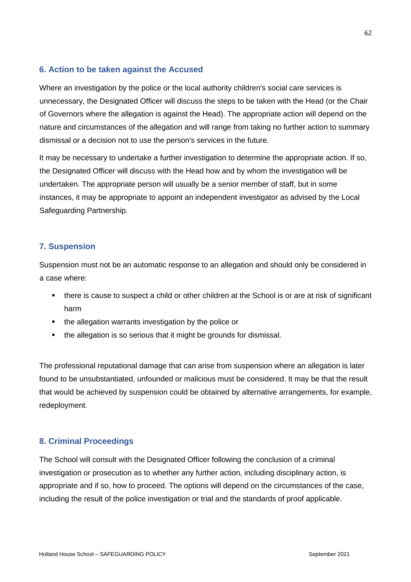## **6. Action to be taken against the Accused**

Where an investigation by the police or the local authority children's social care services is unnecessary, the Designated Officer will discuss the steps to be taken with the Head (or the Chair of Governors where the allegation is against the Head). The appropriate action will depend on the nature and circumstances of the allegation and will range from taking no further action to summary dismissal or a decision not to use the person's services in the future.

It may be necessary to undertake a further investigation to determine the appropriate action. If so, the Designated Officer will discuss with the Head how and by whom the investigation will be undertaken. The appropriate person will usually be a senior member of staff, but in some instances, it may be appropriate to appoint an independent investigator as advised by the Local Safeguarding Partnership.

## **7. Suspension**

Suspension must not be an automatic response to an allegation and should only be considered in a case where:

- there is cause to suspect a child or other children at the School is or are at risk of significant harm
- the allegation warrants investigation by the police or
- the allegation is so serious that it might be grounds for dismissal.

The professional reputational damage that can arise from suspension where an allegation is later found to be unsubstantiated, unfounded or malicious must be considered. It may be that the result that would be achieved by suspension could be obtained by alternative arrangements, for example, redeployment.

## **8. Criminal Proceedings**

The School will consult with the Designated Officer following the conclusion of a criminal investigation or prosecution as to whether any further action, including disciplinary action, is appropriate and if so, how to proceed. The options will depend on the circumstances of the case, including the result of the police investigation or trial and the standards of proof applicable.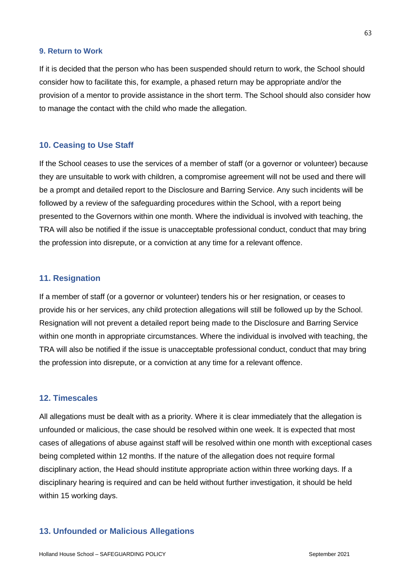### **9. Return to Work**

If it is decided that the person who has been suspended should return to work, the School should consider how to facilitate this, for example, a phased return may be appropriate and/or the provision of a mentor to provide assistance in the short term. The School should also consider how to manage the contact with the child who made the allegation.

### **10. Ceasing to Use Staff**

If the School ceases to use the services of a member of staff (or a governor or volunteer) because they are unsuitable to work with children, a compromise agreement will not be used and there will be a prompt and detailed report to the Disclosure and Barring Service. Any such incidents will be followed by a review of the safeguarding procedures within the School, with a report being presented to the Governors within one month. Where the individual is involved with teaching, the TRA will also be notified if the issue is unacceptable professional conduct, conduct that may bring the profession into disrepute, or a conviction at any time for a relevant offence.

### **11. Resignation**

If a member of staff (or a governor or volunteer) tenders his or her resignation, or ceases to provide his or her services, any child protection allegations will still be followed up by the School. Resignation will not prevent a detailed report being made to the Disclosure and Barring Service within one month in appropriate circumstances. Where the individual is involved with teaching, the TRA will also be notified if the issue is unacceptable professional conduct, conduct that may bring the profession into disrepute, or a conviction at any time for a relevant offence.

### **12. Timescales**

All allegations must be dealt with as a priority. Where it is clear immediately that the allegation is unfounded or malicious, the case should be resolved within one week. It is expected that most cases of allegations of abuse against staff will be resolved within one month with exceptional cases being completed within 12 months. If the nature of the allegation does not require formal disciplinary action, the Head should institute appropriate action within three working days. If a disciplinary hearing is required and can be held without further investigation, it should be held within 15 working days.

### **13. Unfounded or Malicious Allegations**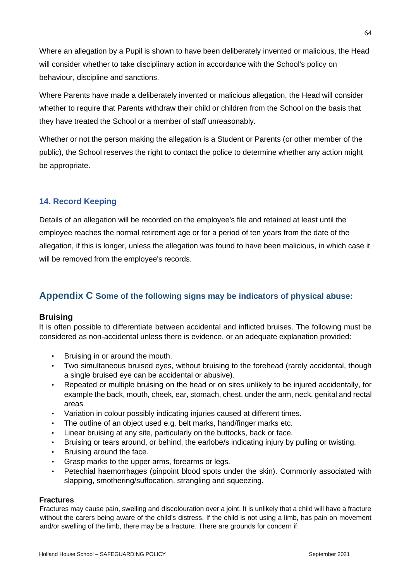Where an allegation by a Pupil is shown to have been deliberately invented or malicious, the Head will consider whether to take disciplinary action in accordance with the School's policy on behaviour, discipline and sanctions.

Where Parents have made a deliberately invented or malicious allegation, the Head will consider whether to require that Parents withdraw their child or children from the School on the basis that they have treated the School or a member of staff unreasonably.

Whether or not the person making the allegation is a Student or Parents (or other member of the public), the School reserves the right to contact the police to determine whether any action might be appropriate.

## **14. Record Keeping**

Details of an allegation will be recorded on the employee's file and retained at least until the employee reaches the normal retirement age or for a period of ten years from the date of the allegation, if this is longer, unless the allegation was found to have been malicious, in which case it will be removed from the employee's records.

## **Appendix C Some of the following signs may be indicators of physical abuse:**

### **Bruising**

It is often possible to differentiate between accidental and inflicted bruises. The following must be considered as non-accidental unless there is evidence, or an adequate explanation provided:

- Bruising in or around the mouth.
- Two simultaneous bruised eyes, without bruising to the forehead (rarely accidental, though a single bruised eye can be accidental or abusive).
- Repeated or multiple bruising on the head or on sites unlikely to be injured accidentally, for example the back, mouth, cheek, ear, stomach, chest, under the arm, neck, genital and rectal areas
- Variation in colour possibly indicating injuries caused at different times.
- The outline of an object used e.g. belt marks, hand/finger marks etc.
- Linear bruising at any site, particularly on the buttocks, back or face.
- Bruising or tears around, or behind, the earlobe/s indicating injury by pulling or twisting.
- Bruising around the face.
- Grasp marks to the upper arms, forearms or legs.
- Petechial haemorrhages (pinpoint blood spots under the skin). Commonly associated with slapping, smothering/suffocation, strangling and squeezing.

#### **Fractures**

Fractures may cause pain, swelling and discolouration over a joint. It is unlikely that a child will have a fracture without the carers being aware of the child's distress. If the child is not using a limb, has pain on movement and/or swelling of the limb, there may be a fracture. There are grounds for concern if: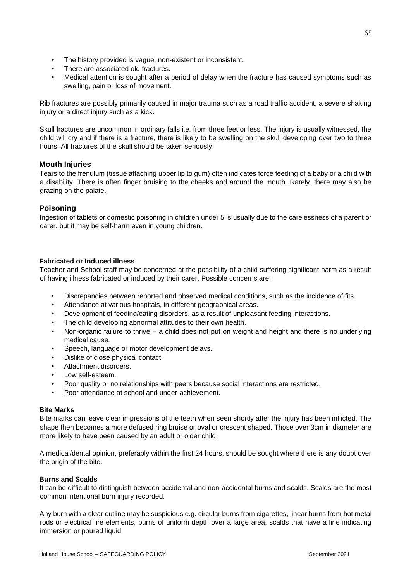- The history provided is vague, non-existent or inconsistent.
- There are associated old fractures.
- Medical attention is sought after a period of delay when the fracture has caused symptoms such as swelling, pain or loss of movement.

Rib fractures are possibly primarily caused in major trauma such as a road traffic accident, a severe shaking injury or a direct injury such as a kick.

Skull fractures are uncommon in ordinary falls i.e. from three feet or less. The injury is usually witnessed, the child will cry and if there is a fracture, there is likely to be swelling on the skull developing over two to three hours. All fractures of the skull should be taken seriously.

### **Mouth Injuries**

Tears to the frenulum (tissue attaching upper lip to gum) often indicates force feeding of a baby or a child with a disability. There is often finger bruising to the cheeks and around the mouth. Rarely, there may also be grazing on the palate.

### **Poisoning**

Ingestion of tablets or domestic poisoning in children under 5 is usually due to the carelessness of a parent or carer, but it may be self-harm even in young children.

### **Fabricated or Induced illness**

Teacher and School staff may be concerned at the possibility of a child suffering significant harm as a result of having illness fabricated or induced by their carer. Possible concerns are:

- Discrepancies between reported and observed medical conditions, such as the incidence of fits.
- Attendance at various hospitals, in different geographical areas.
- Development of feeding/eating disorders, as a result of unpleasant feeding interactions.
- The child developing abnormal attitudes to their own health.
- Non-organic failure to thrive a child does not put on weight and height and there is no underlying medical cause.
- Speech, language or motor development delays.
- Dislike of close physical contact.
- Attachment disorders.
- Low self-esteem.
- Poor quality or no relationships with peers because social interactions are restricted.
- Poor attendance at school and under-achievement.

#### **Bite Marks**

Bite marks can leave clear impressions of the teeth when seen shortly after the injury has been inflicted. The shape then becomes a more defused ring bruise or oval or crescent shaped. Those over 3cm in diameter are more likely to have been caused by an adult or older child.

A medical/dental opinion, preferably within the first 24 hours, should be sought where there is any doubt over the origin of the bite.

#### **Burns and Scalds**

It can be difficult to distinguish between accidental and non-accidental burns and scalds. Scalds are the most common intentional burn injury recorded.

Any burn with a clear outline may be suspicious e.g. circular burns from cigarettes, linear burns from hot metal rods or electrical fire elements, burns of uniform depth over a large area, scalds that have a line indicating immersion or poured liquid.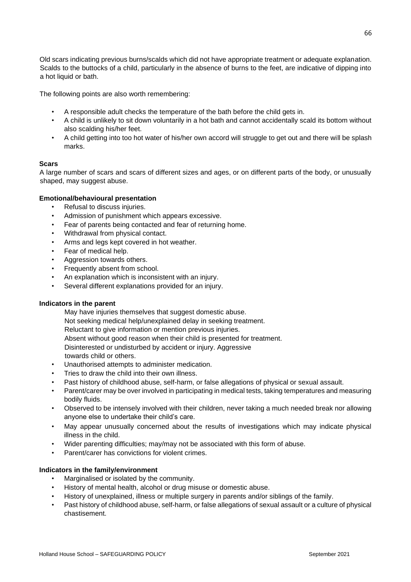Old scars indicating previous burns/scalds which did not have appropriate treatment or adequate explanation. Scalds to the buttocks of a child, particularly in the absence of burns to the feet, are indicative of dipping into a hot liquid or bath.

The following points are also worth remembering:

- A responsible adult checks the temperature of the bath before the child gets in.
- A child is unlikely to sit down voluntarily in a hot bath and cannot accidentally scald its bottom without also scalding his/her feet.
- A child getting into too hot water of his/her own accord will struggle to get out and there will be splash marks.

#### **Scars**

A large number of scars and scars of different sizes and ages, or on different parts of the body, or unusually shaped, may suggest abuse.

#### **Emotional/behavioural presentation**

- Refusal to discuss injuries.
- Admission of punishment which appears excessive.
- Fear of parents being contacted and fear of returning home.
- Withdrawal from physical contact.
- Arms and legs kept covered in hot weather.
- Fear of medical help.
- Aggression towards others.
- Frequently absent from school.
- An explanation which is inconsistent with an injury.
- Several different explanations provided for an injury.

#### **Indicators in the parent**

May have injuries themselves that suggest domestic abuse. Not seeking medical help/unexplained delay in seeking treatment. Reluctant to give information or mention previous injuries. Absent without good reason when their child is presented for treatment. Disinterested or undisturbed by accident or injury. Aggressive towards child or others.

- Unauthorised attempts to administer medication.
- Tries to draw the child into their own illness.
- Past history of childhood abuse, self-harm, or false allegations of physical or sexual assault.
- Parent/carer may be over involved in participating in medical tests, taking temperatures and measuring bodily fluids.
- Observed to be intensely involved with their children, never taking a much needed break nor allowing anyone else to undertake their child's care.
- May appear unusually concerned about the results of investigations which may indicate physical illness in the child.
- Wider parenting difficulties; may/may not be associated with this form of abuse.
- Parent/carer has convictions for violent crimes.

#### **Indicators in the family/environment**

- Marginalised or isolated by the community.
- History of mental health, alcohol or drug misuse or domestic abuse.
- History of unexplained, illness or multiple surgery in parents and/or siblings of the family.
- Past history of childhood abuse, self-harm, or false allegations of sexual assault or a culture of physical chastisement.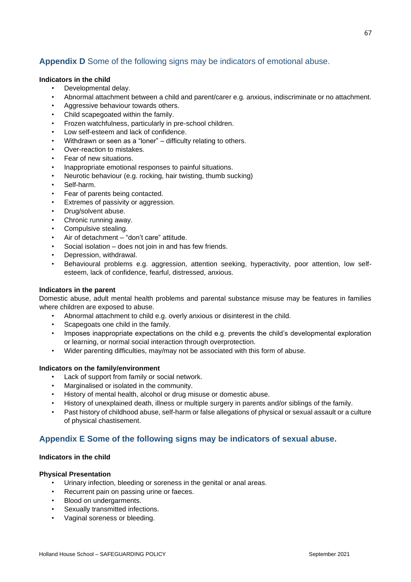## **Appendix D** Some of the following signs may be indicators of emotional abuse.

#### **Indicators in the child**

- Developmental delay.
- Abnormal attachment between a child and parent/carer e.g. anxious, indiscriminate or no attachment.
- Aggressive behaviour towards others.
- Child scapegoated within the family.
- Frozen watchfulness, particularly in pre-school children.
- Low self-esteem and lack of confidence.
- Withdrawn or seen as a "loner" difficulty relating to others.
- Over-reaction to mistakes.
- Fear of new situations.
- Inappropriate emotional responses to painful situations.
- Neurotic behaviour (e.g. rocking, hair twisting, thumb sucking)
- Self-harm.
- Fear of parents being contacted.
- Extremes of passivity or aggression.
- Drug/solvent abuse.
- Chronic running away.
- Compulsive stealing.
- Air of detachment "don't care" attitude.
- Social isolation does not join in and has few friends.
- Depression, withdrawal.
- Behavioural problems e.g. aggression, attention seeking, hyperactivity, poor attention, low selfesteem, lack of confidence, fearful, distressed, anxious.

#### **Indicators in the parent**

Domestic abuse, adult mental health problems and parental substance misuse may be features in families where children are exposed to abuse.

- Abnormal attachment to child e.g. overly anxious or disinterest in the child.
- Scapegoats one child in the family.
- Imposes inappropriate expectations on the child e.g. prevents the child's developmental exploration or learning, or normal social interaction through overprotection.
- Wider parenting difficulties, may/may not be associated with this form of abuse.

#### **Indicators on the family/environment**

- Lack of support from family or social network.
- Marginalised or isolated in the community.
- History of mental health, alcohol or drug misuse or domestic abuse.
- History of unexplained death, illness or multiple surgery in parents and/or siblings of the family.
- Past history of childhood abuse, self-harm or false allegations of physical or sexual assault or a culture of physical chastisement.

### **Appendix E Some of the following signs may be indicators of sexual abuse.**

### **Indicators in the child**

#### **Physical Presentation**

- Urinary infection, bleeding or soreness in the genital or anal areas.
- Recurrent pain on passing urine or faeces.
- Blood on undergarments.
- Sexually transmitted infections.
- Vaginal soreness or bleeding.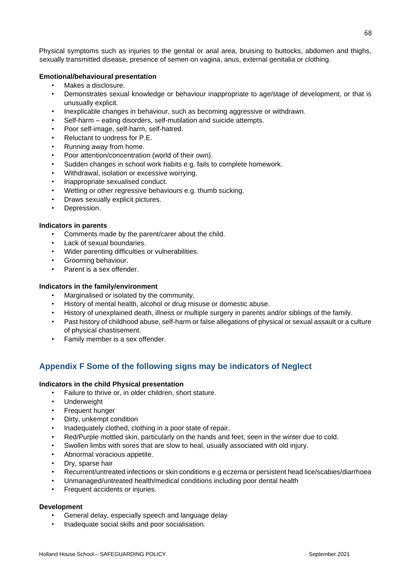Physical symptoms such as injuries to the genital or anal area, bruising to buttocks, abdomen and thighs, sexually transmitted disease, presence of semen on vagina, anus, external genitalia or clothing.

### **Emotional/behavioural presentation**

- Makes a disclosure.
- Demonstrates sexual knowledge or behaviour inappropriate to age/stage of development, or that is unusually explicit.
- Inexplicable changes in behaviour, such as becoming aggressive or withdrawn.
- Self-harm eating disorders, self-mutilation and suicide attempts.
- Poor self-image, self-harm, self-hatred.
- Reluctant to undress for P.E.
- Running away from home.
- Poor attention/concentration (world of their own).
- Sudden changes in school work habits e.g. fails to complete homework.
- Withdrawal, isolation or excessive worrying.
- Inappropriate sexualised conduct.
- Wetting or other regressive behaviours e.g. thumb sucking.
- Draws sexually explicit pictures.
- Depression.

#### **Indicators in parents**

- Comments made by the parent/carer about the child.
- Lack of sexual boundaries.
- Wider parenting difficulties or vulnerabilities.
- Grooming behaviour.
- Parent is a sex offender.

### **Indicators in the family/environment**

- Marginalised or isolated by the community.
- History of mental health, alcohol or drug misuse or domestic abuse.
- History of unexplained death, illness or multiple surgery in parents and/or siblings of the family.
- Past history of childhood abuse, self-harm or false allegations of physical or sexual assault or a culture of physical chastisement.
- Family member is a sex offender.

## **Appendix F Some of the following signs may be indicators of Neglect**

#### **Indicators in the child Physical presentation**

- Failure to thrive or, in older children, short stature.
- **Underweight**
- Frequent hunger
- Dirty, unkempt condition
- Inadequately clothed, clothing in a poor state of repair.
- Red/Purple mottled skin, particularly on the hands and feet, seen in the winter due to cold.
- Swollen limbs with sores that are slow to heal, usually associated with old injury.
- Abnormal voracious appetite.
- Drv, sparse hair
- Recurrent/untreated infections or skin conditions e.g eczema or persistent head lice/scabies/diarrhoea
- Unmanaged/untreated health/medical conditions including poor dental health
- Frequent accidents or injuries.

#### **Development**

- General delay, especially speech and language delay
- Inadequate social skills and poor socialisation.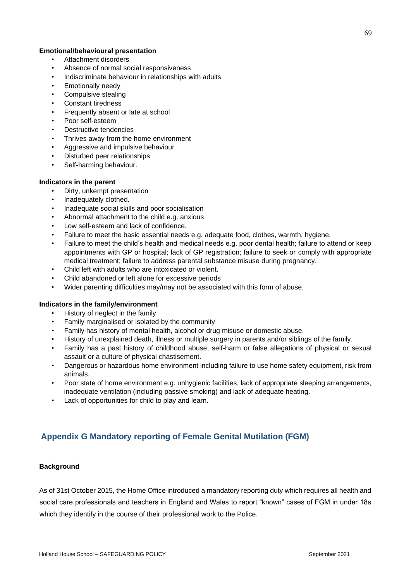- Attachment disorders
- Absence of normal social responsiveness
- Indiscriminate behaviour in relationships with adults
- Emotionally needy
- Compulsive stealing
- Constant tiredness
- Frequently absent or late at school
- Poor self-esteem
- Destructive tendencies
- Thrives away from the home environment
- Aggressive and impulsive behaviour
- Disturbed peer relationships
- Self-harming behaviour.

#### **Indicators in the parent**

- Dirty, unkempt presentation
- Inadequately clothed.
- Inadequate social skills and poor socialisation
- Abnormal attachment to the child e.g. anxious
- Low self-esteem and lack of confidence.
- Failure to meet the basic essential needs e.g. adequate food, clothes, warmth, hygiene.
- Failure to meet the child's health and medical needs e.g. poor dental health; failure to attend or keep appointments with GP or hospital; lack of GP registration; failure to seek or comply with appropriate medical treatment; failure to address parental substance misuse during pregnancy.
- Child left with adults who are intoxicated or violent.
- Child abandoned or left alone for excessive periods
- Wider parenting difficulties may/may not be associated with this form of abuse.

#### **Indicators in the family/environment**

- History of neglect in the family
- Family marginalised or isolated by the community
- Family has history of mental health, alcohol or drug misuse or domestic abuse.
- History of unexplained death, illness or multiple surgery in parents and/or siblings of the family.
- Family has a past history of childhood abuse, self-harm or false allegations of physical or sexual assault or a culture of physical chastisement.
- Dangerous or hazardous home environment including failure to use home safety equipment, risk from animals.
- Poor state of home environment e.g. unhygienic facilities, lack of appropriate sleeping arrangements, inadequate ventilation (including passive smoking) and lack of adequate heating.
- Lack of opportunities for child to play and learn.

## **Appendix G Mandatory reporting of Female Genital Mutilation (FGM)**

#### **Background**

As of 31st October 2015, the Home Office introduced a mandatory reporting duty which requires all health and social care professionals and teachers in England and Wales to report "known" cases of FGM in under 18s which they identify in the course of their professional work to the Police.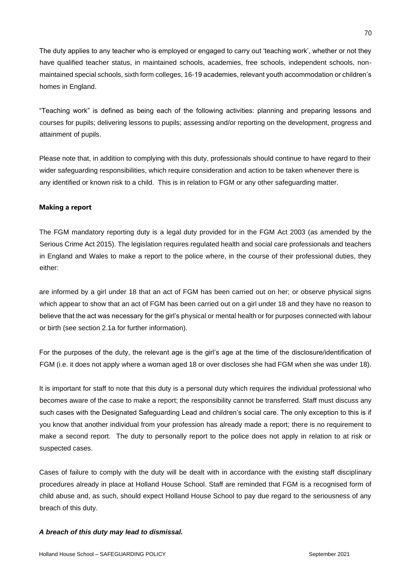The duty applies to any teacher who is employed or engaged to carry out 'teaching work', whether or not they have qualified teacher status, in maintained schools, academies, free schools, independent schools, nonmaintained special schools, sixth form colleges, 16-19 academies, relevant youth accommodation or children's homes in England.

"Teaching work" is defined as being each of the following activities: planning and preparing lessons and courses for pupils; delivering lessons to pupils; assessing and/or reporting on the development, progress and attainment of pupils.

Please note that, in addition to complying with this duty, professionals should continue to have regard to their wider safeguarding responsibilities, which require consideration and action to be taken whenever there is any identified or known risk to a child. This is in relation to FGM or any other safeguarding matter.

### **Making a report**

The FGM mandatory reporting duty is a legal duty provided for in the FGM Act 2003 (as amended by the Serious Crime Act 2015). The legislation requires regulated health and social care professionals and teachers in England and Wales to make a report to the police where, in the course of their professional duties, they either:

are informed by a girl under 18 that an act of FGM has been carried out on her; or observe physical signs which appear to show that an act of FGM has been carried out on a girl under 18 and they have no reason to believe that the act was necessary for the girl's physical or mental health or for purposes connected with labour or birth (see section 2.1a for further information).

For the purposes of the duty, the relevant age is the girl's age at the time of the disclosure/identification of FGM (i.e. it does not apply where a woman aged 18 or over discloses she had FGM when she was under 18).

It is important for staff to note that this duty is a personal duty which requires the individual professional who becomes aware of the case to make a report; the responsibility cannot be transferred. Staff must discuss any such cases with the Designated Safeguarding Lead and children's social care. The only exception to this is if you know that another individual from your profession has already made a report; there is no requirement to make a second report. The duty to personally report to the police does not apply in relation to at risk or suspected cases.

Cases of failure to comply with the duty will be dealt with in accordance with the existing staff disciplinary procedures already in place at Holland House School. Staff are reminded that FGM is a recognised form of child abuse and, as such, should expect Holland House School to pay due regard to the seriousness of any breach of this duty.

### *A breach of this duty may lead to dismissal.*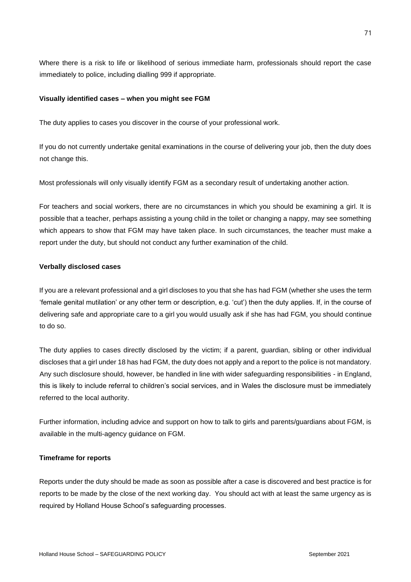Where there is a risk to life or likelihood of serious immediate harm, professionals should report the case immediately to police, including dialling 999 if appropriate.

### **Visually identified cases – when you might see FGM**

The duty applies to cases you discover in the course of your professional work.

If you do not currently undertake genital examinations in the course of delivering your job, then the duty does not change this.

Most professionals will only visually identify FGM as a secondary result of undertaking another action.

For teachers and social workers, there are no circumstances in which you should be examining a girl. It is possible that a teacher, perhaps assisting a young child in the toilet or changing a nappy, may see something which appears to show that FGM may have taken place. In such circumstances, the teacher must make a report under the duty, but should not conduct any further examination of the child.

#### **Verbally disclosed cases**

If you are a relevant professional and a girl discloses to you that she has had FGM (whether she uses the term 'female genital mutilation' or any other term or description, e.g. 'cut') then the duty applies. If, in the course of delivering safe and appropriate care to a girl you would usually ask if she has had FGM, you should continue to do so.

The duty applies to cases directly disclosed by the victim; if a parent, guardian, sibling or other individual discloses that a girl under 18 has had FGM, the duty does not apply and a report to the police is not mandatory. Any such disclosure should, however, be handled in line with wider safeguarding responsibilities - in England, this is likely to include referral to children's social services, and in Wales the disclosure must be immediately referred to the local authority.

Further information, including advice and support on how to talk to girls and parents/guardians about FGM, is available in the multi-agency guidance on FGM.

#### **Timeframe for reports**

Reports under the duty should be made as soon as possible after a case is discovered and best practice is for reports to be made by the close of the next working day. You should act with at least the same urgency as is required by Holland House School's safeguarding processes.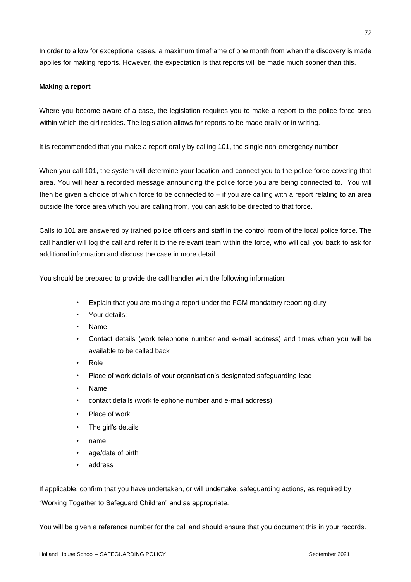In order to allow for exceptional cases, a maximum timeframe of one month from when the discovery is made applies for making reports. However, the expectation is that reports will be made much sooner than this.

### **Making a report**

Where you become aware of a case, the legislation requires you to make a report to the police force area within which the girl resides. The legislation allows for reports to be made orally or in writing.

It is recommended that you make a report orally by calling 101, the single non-emergency number.

When you call 101, the system will determine your location and connect you to the police force covering that area. You will hear a recorded message announcing the police force you are being connected to. You will then be given a choice of which force to be connected to – if you are calling with a report relating to an area outside the force area which you are calling from, you can ask to be directed to that force.

Calls to 101 are answered by trained police officers and staff in the control room of the local police force. The call handler will log the call and refer it to the relevant team within the force, who will call you back to ask for additional information and discuss the case in more detail.

You should be prepared to provide the call handler with the following information:

- Explain that you are making a report under the FGM mandatory reporting duty
- Your details:
- Name
- Contact details (work telephone number and e-mail address) and times when you will be available to be called back
- Role
- Place of work details of your organisation's designated safeguarding lead
- Name
- contact details (work telephone number and e-mail address)
- Place of work
- The girl's details
- name
- age/date of birth
- address

If applicable, confirm that you have undertaken, or will undertake, safeguarding actions, as required by "Working Together to Safeguard Children" and as appropriate.

You will be given a reference number for the call and should ensure that you document this in your records.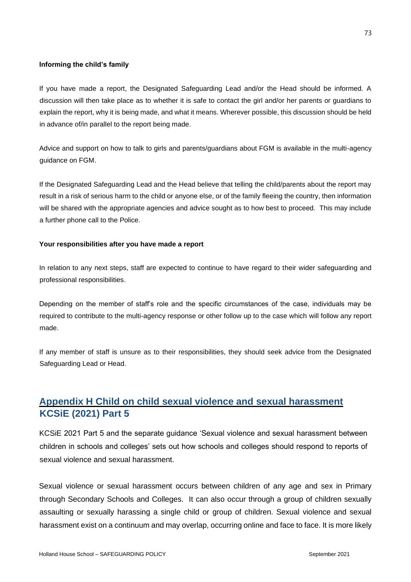#### **Informing the child's family**

If you have made a report, the Designated Safeguarding Lead and/or the Head should be informed. A discussion will then take place as to whether it is safe to contact the girl and/or her parents or guardians to explain the report, why it is being made, and what it means. Wherever possible, this discussion should be held in advance of/in parallel to the report being made.

Advice and support on how to talk to girls and parents/guardians about FGM is available in the multi-agency guidance on FGM.

If the Designated Safeguarding Lead and the Head believe that telling the child/parents about the report may result in a risk of serious harm to the child or anyone else, or of the family fleeing the country, then information will be shared with the appropriate agencies and advice sought as to how best to proceed. This may include a further phone call to the Police.

#### **Your responsibilities after you have made a report**

In relation to any next steps, staff are expected to continue to have regard to their wider safeguarding and professional responsibilities.

Depending on the member of staff's role and the specific circumstances of the case, individuals may be required to contribute to the multi-agency response or other follow up to the case which will follow any report made.

If any member of staff is unsure as to their responsibilities, they should seek advice from the Designated Safeguarding Lead or Head.

# **Appendix H Child on child sexual violence and sexual harassment KCSiE (2021) Part 5**

KCSiE 2021 Part 5 and the separate guidance 'Sexual violence and sexual harassment between children in schools and colleges' sets out how schools and colleges should respond to reports of sexual violence and sexual harassment.

Sexual violence or sexual harassment occurs between children of any age and sex in Primary through Secondary Schools and Colleges. It can also occur through a group of children sexually assaulting or sexually harassing a single child or group of children. Sexual violence and sexual harassment exist on a continuum and may overlap, occurring online and face to face. It is more likely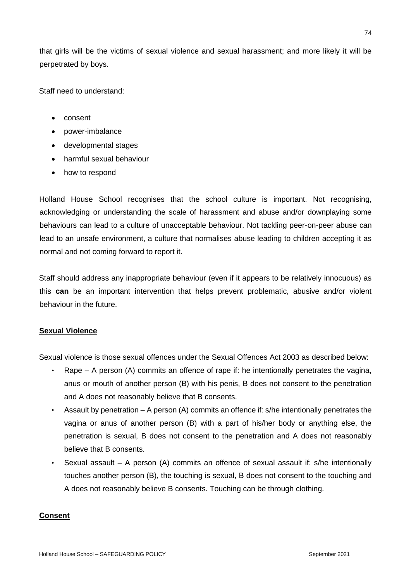that girls will be the victims of sexual violence and sexual harassment; and more likely it will be perpetrated by boys.

Staff need to understand:

- consent
- power-imbalance
- developmental stages
- harmful sexual behaviour
- how to respond

Holland House School recognises that the school culture is important. Not recognising, acknowledging or understanding the scale of harassment and abuse and/or downplaying some behaviours can lead to a culture of unacceptable behaviour. Not tackling peer-on-peer abuse can lead to an unsafe environment, a culture that normalises abuse leading to children accepting it as normal and not coming forward to report it.

Staff should address any inappropriate behaviour (even if it appears to be relatively innocuous) as this **can** be an important intervention that helps prevent problematic, abusive and/or violent behaviour in the future.

#### **Sexual Violence**

Sexual violence is those sexual offences under the Sexual Offences Act 2003 as described below:

- Rape A person (A) commits an offence of rape if: he intentionally penetrates the vagina, anus or mouth of another person (B) with his penis, B does not consent to the penetration and A does not reasonably believe that B consents.
- Assault by penetration A person (A) commits an offence if: s/he intentionally penetrates the vagina or anus of another person (B) with a part of his/her body or anything else, the penetration is sexual, B does not consent to the penetration and A does not reasonably believe that B consents.
- Sexual assault A person (A) commits an offence of sexual assault if: s/he intentionally touches another person (B), the touching is sexual, B does not consent to the touching and A does not reasonably believe B consents. Touching can be through clothing.

#### **Consent**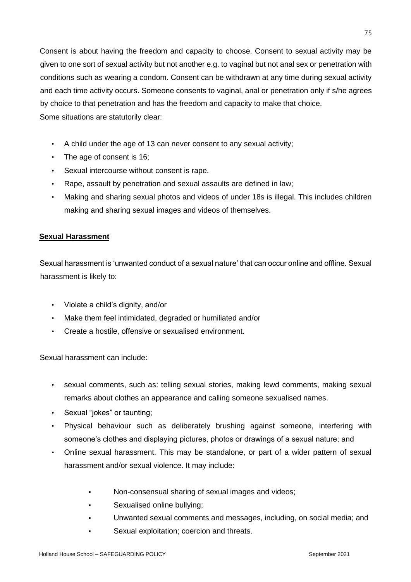Consent is about having the freedom and capacity to choose. Consent to sexual activity may be given to one sort of sexual activity but not another e.g. to vaginal but not anal sex or penetration with conditions such as wearing a condom. Consent can be withdrawn at any time during sexual activity and each time activity occurs. Someone consents to vaginal, anal or penetration only if s/he agrees by choice to that penetration and has the freedom and capacity to make that choice.

Some situations are statutorily clear:

- A child under the age of 13 can never consent to any sexual activity;
- The age of consent is 16;
- Sexual intercourse without consent is rape.
- Rape, assault by penetration and sexual assaults are defined in law;
- Making and sharing sexual photos and videos of under 18s is illegal. This includes children making and sharing sexual images and videos of themselves.

### **Sexual Harassment**

Sexual harassment is 'unwanted conduct of a sexual nature' that can occur online and offline. Sexual harassment is likely to:

- Violate a child's dignity, and/or
- Make them feel intimidated, degraded or humiliated and/or
- Create a hostile, offensive or sexualised environment.

Sexual harassment can include:

- sexual comments, such as: telling sexual stories, making lewd comments, making sexual remarks about clothes an appearance and calling someone sexualised names.
- Sexual "jokes" or taunting;
- Physical behaviour such as deliberately brushing against someone, interfering with someone's clothes and displaying pictures, photos or drawings of a sexual nature; and
- Online sexual harassment. This may be standalone, or part of a wider pattern of sexual harassment and/or sexual violence. It may include:
	- Non-consensual sharing of sexual images and videos;
	- Sexualised online bullying:
	- Unwanted sexual comments and messages, including, on social media; and
	- Sexual exploitation; coercion and threats.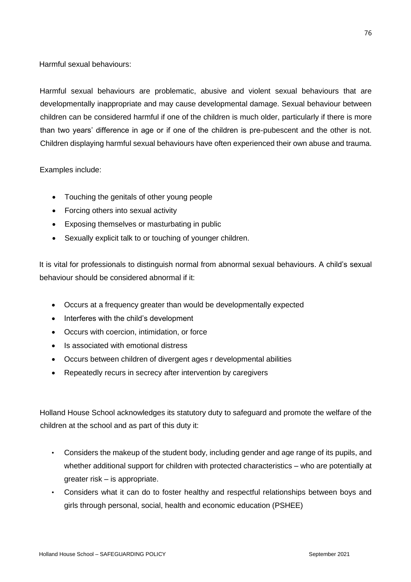Harmful sexual behaviours:

Harmful sexual behaviours are problematic, abusive and violent sexual behaviours that are developmentally inappropriate and may cause developmental damage. Sexual behaviour between children can be considered harmful if one of the children is much older, particularly if there is more than two years' difference in age or if one of the children is pre-pubescent and the other is not. Children displaying harmful sexual behaviours have often experienced their own abuse and trauma.

#### Examples include:

- Touching the genitals of other young people
- Forcing others into sexual activity
- Exposing themselves or masturbating in public
- Sexually explicit talk to or touching of younger children.

It is vital for professionals to distinguish normal from abnormal sexual behaviours. A child's sexual behaviour should be considered abnormal if it:

- Occurs at a frequency greater than would be developmentally expected
- Interferes with the child's development
- Occurs with coercion, intimidation, or force
- Is associated with emotional distress
- Occurs between children of divergent ages r developmental abilities
- Repeatedly recurs in secrecy after intervention by caregivers

Holland House School acknowledges its statutory duty to safeguard and promote the welfare of the children at the school and as part of this duty it:

- Considers the makeup of the student body, including gender and age range of its pupils, and whether additional support for children with protected characteristics – who are potentially at greater risk – is appropriate.
- Considers what it can do to foster healthy and respectful relationships between boys and girls through personal, social, health and economic education (PSHEE)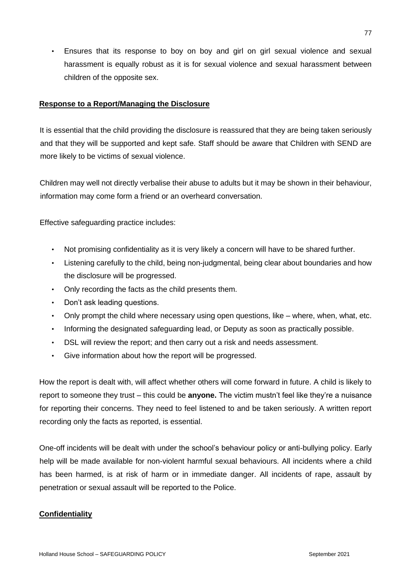• Ensures that its response to boy on boy and girl on girl sexual violence and sexual harassment is equally robust as it is for sexual violence and sexual harassment between children of the opposite sex.

#### **Response to a Report/Managing the Disclosure**

It is essential that the child providing the disclosure is reassured that they are being taken seriously and that they will be supported and kept safe. Staff should be aware that Children with SEND are more likely to be victims of sexual violence.

Children may well not directly verbalise their abuse to adults but it may be shown in their behaviour, information may come form a friend or an overheard conversation.

Effective safeguarding practice includes:

- Not promising confidentiality as it is very likely a concern will have to be shared further.
- Listening carefully to the child, being non-judgmental, being clear about boundaries and how the disclosure will be progressed.
- Only recording the facts as the child presents them.
- Don't ask leading questions.
- Only prompt the child where necessary using open questions, like where, when, what, etc.
- Informing the designated safeguarding lead, or Deputy as soon as practically possible.
- DSL will review the report; and then carry out a risk and needs assessment.
- Give information about how the report will be progressed.

How the report is dealt with, will affect whether others will come forward in future. A child is likely to report to someone they trust – this could be **anyone.** The victim mustn't feel like they're a nuisance for reporting their concerns. They need to feel listened to and be taken seriously. A written report recording only the facts as reported, is essential.

One-off incidents will be dealt with under the school's behaviour policy or anti-bullying policy. Early help will be made available for non-violent harmful sexual behaviours. All incidents where a child has been harmed, is at risk of harm or in immediate danger. All incidents of rape, assault by penetration or sexual assault will be reported to the Police.

#### **Confidentiality**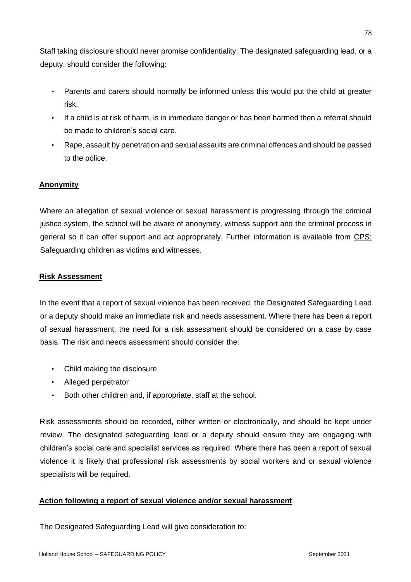Staff taking disclosure should never promise confidentiality. The designated safeguarding lead, or a deputy, should consider the following:

- Parents and carers should normally be informed unless this would put the child at greater risk.
- If a child is at risk of harm, is in immediate danger or has been harmed then a referral should be made to children's social care.
- Rape, assault by penetration and sexual assaults are criminal offences and should be passed to the police.

## **Anonymity**

Where an allegation of sexual violence or sexual harassment is progressing through the criminal justice system, the school will be aware of anonymity, witness support and the criminal process in general so it can offer support and act appropriately. Further information is available from CPS: Safeguarding children as victims and witnesses.

### **Risk Assessment**

In the event that a report of sexual violence has been received, the Designated Safeguarding Lead or a deputy should make an immediate risk and needs assessment. Where there has been a report of sexual harassment, the need for a risk assessment should be considered on a case by case basis. The risk and needs assessment should consider the:

- Child making the disclosure
- Alleged perpetrator
- Both other children and, if appropriate, staff at the school.

Risk assessments should be recorded, either written or electronically, and should be kept under review. The designated safeguarding lead or a deputy should ensure they are engaging with children's social care and specialist services as required. Where there has been a report of sexual violence it is likely that professional risk assessments by social workers and or sexual violence specialists will be required.

## **Action following a report of sexual violence and/or sexual harassment**

The Designated Safeguarding Lead will give consideration to: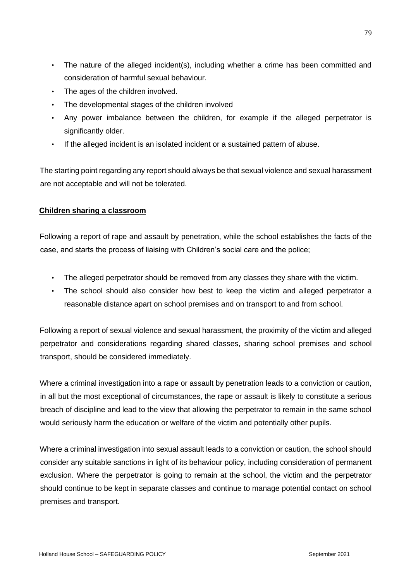- The nature of the alleged incident(s), including whether a crime has been committed and consideration of harmful sexual behaviour.
- The ages of the children involved.
- The developmental stages of the children involved
- Any power imbalance between the children, for example if the alleged perpetrator is significantly older.
- If the alleged incident is an isolated incident or a sustained pattern of abuse.

The starting point regarding any report should always be that sexual violence and sexual harassment are not acceptable and will not be tolerated.

### **Children sharing a classroom**

Following a report of rape and assault by penetration, while the school establishes the facts of the case, and starts the process of liaising with Children's social care and the police;

- The alleged perpetrator should be removed from any classes they share with the victim.
- The school should also consider how best to keep the victim and alleged perpetrator a reasonable distance apart on school premises and on transport to and from school.

Following a report of sexual violence and sexual harassment, the proximity of the victim and alleged perpetrator and considerations regarding shared classes, sharing school premises and school transport, should be considered immediately.

Where a criminal investigation into a rape or assault by penetration leads to a conviction or caution, in all but the most exceptional of circumstances, the rape or assault is likely to constitute a serious breach of discipline and lead to the view that allowing the perpetrator to remain in the same school would seriously harm the education or welfare of the victim and potentially other pupils.

Where a criminal investigation into sexual assault leads to a conviction or caution, the school should consider any suitable sanctions in light of its behaviour policy, including consideration of permanent exclusion. Where the perpetrator is going to remain at the school, the victim and the perpetrator should continue to be kept in separate classes and continue to manage potential contact on school premises and transport.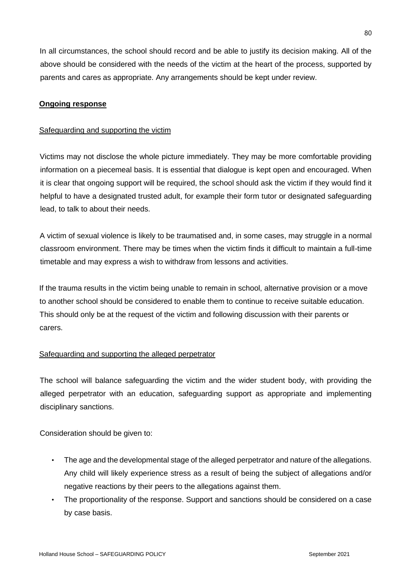In all circumstances, the school should record and be able to justify its decision making. All of the above should be considered with the needs of the victim at the heart of the process, supported by parents and cares as appropriate. Any arrangements should be kept under review.

#### **Ongoing response**

#### Safeguarding and supporting the victim

Victims may not disclose the whole picture immediately. They may be more comfortable providing information on a piecemeal basis. It is essential that dialogue is kept open and encouraged. When it is clear that ongoing support will be required, the school should ask the victim if they would find it helpful to have a designated trusted adult, for example their form tutor or designated safeguarding lead, to talk to about their needs.

A victim of sexual violence is likely to be traumatised and, in some cases, may struggle in a normal classroom environment. There may be times when the victim finds it difficult to maintain a full-time timetable and may express a wish to withdraw from lessons and activities.

If the trauma results in the victim being unable to remain in school, alternative provision or a move to another school should be considered to enable them to continue to receive suitable education. This should only be at the request of the victim and following discussion with their parents or carers.

## Safeguarding and supporting the alleged perpetrator

The school will balance safeguarding the victim and the wider student body, with providing the alleged perpetrator with an education, safeguarding support as appropriate and implementing disciplinary sanctions.

Consideration should be given to:

- The age and the developmental stage of the alleged perpetrator and nature of the allegations. Any child will likely experience stress as a result of being the subject of allegations and/or negative reactions by their peers to the allegations against them.
- The proportionality of the response. Support and sanctions should be considered on a case by case basis.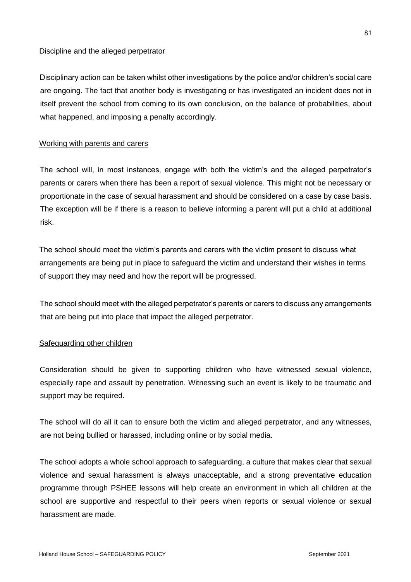#### Discipline and the alleged perpetrator

Disciplinary action can be taken whilst other investigations by the police and/or children's social care are ongoing. The fact that another body is investigating or has investigated an incident does not in itself prevent the school from coming to its own conclusion, on the balance of probabilities, about what happened, and imposing a penalty accordingly.

#### Working with parents and carers

The school will, in most instances, engage with both the victim's and the alleged perpetrator's parents or carers when there has been a report of sexual violence. This might not be necessary or proportionate in the case of sexual harassment and should be considered on a case by case basis. The exception will be if there is a reason to believe informing a parent will put a child at additional risk.

The school should meet the victim's parents and carers with the victim present to discuss what arrangements are being put in place to safeguard the victim and understand their wishes in terms of support they may need and how the report will be progressed.

The school should meet with the alleged perpetrator's parents or carers to discuss any arrangements that are being put into place that impact the alleged perpetrator.

#### Safeguarding other children

Consideration should be given to supporting children who have witnessed sexual violence, especially rape and assault by penetration. Witnessing such an event is likely to be traumatic and support may be required.

The school will do all it can to ensure both the victim and alleged perpetrator, and any witnesses, are not being bullied or harassed, including online or by social media.

The school adopts a whole school approach to safeguarding, a culture that makes clear that sexual violence and sexual harassment is always unacceptable, and a strong preventative education programme through PSHEE lessons will help create an environment in which all children at the school are supportive and respectful to their peers when reports or sexual violence or sexual harassment are made.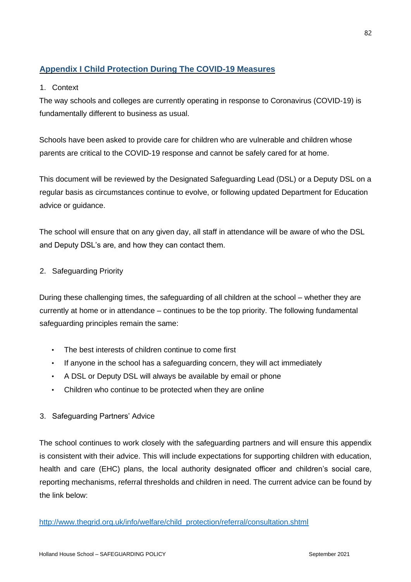# **Appendix I Child Protection During The COVID-19 Measures**

### 1. Context

The way schools and colleges are currently operating in response to Coronavirus (COVID-19) is fundamentally different to business as usual.

Schools have been asked to provide care for children who are vulnerable and children whose parents are critical to the COVID-19 response and cannot be safely cared for at home.

This document will be reviewed by the Designated Safeguarding Lead (DSL) or a Deputy DSL on a regular basis as circumstances continue to evolve, or following updated Department for Education advice or guidance.

The school will ensure that on any given day, all staff in attendance will be aware of who the DSL and Deputy DSL's are, and how they can contact them.

## 2. Safeguarding Priority

During these challenging times, the safeguarding of all children at the school – whether they are currently at home or in attendance – continues to be the top priority. The following fundamental safeguarding principles remain the same:

- The best interests of children continue to come first
- If anyone in the school has a safeguarding concern, they will act immediately
- A DSL or Deputy DSL will always be available by email or phone
- Children who continue to be protected when they are online

## 3. Safeguarding Partners' Advice

The school continues to work closely with the safeguarding partners and will ensure this appendix is consistent with their advice. This will include expectations for supporting children with education, health and care (EHC) plans, the local authority designated officer and children's social care, reporting mechanisms, referral thresholds and children in need. The current advice can be found by the link below:

[http://www.thegrid.org.uk/info/welfare/child\\_protection/referral/consultation.shtml](http://www.thegrid.org.uk/info/welfare/child_protection/referral/consultation.shtml)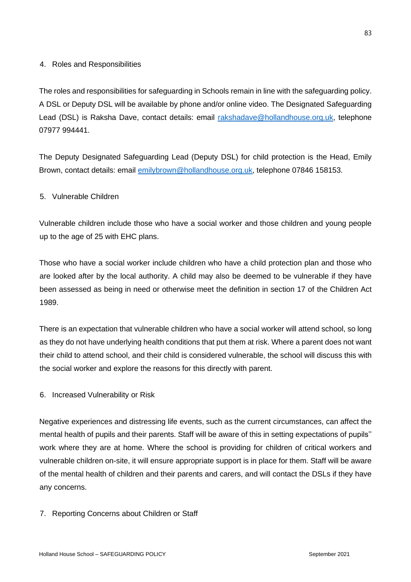### 4. Roles and Responsibilities

The roles and responsibilities for safeguarding in Schools remain in line with the safeguarding policy. A DSL or Deputy DSL will be available by phone and/or online video. The Designated Safeguarding Lead (DSL) is Raksha Dave, contact details: email [rakshadave@hollandhouse.org.uk,](mailto:rakshadave@hollandhouse.org.uk) telephone 07977 994441.

The Deputy Designated Safeguarding Lead (Deputy DSL) for child protection is the Head, Emily Brown, contact details: email [emilybrown@hollandhouse.org.uk,](mailto:emilybrown@hollandhouse.org.uk) telephone 07846 158153.

### 5. Vulnerable Children

Vulnerable children include those who have a social worker and those children and young people up to the age of 25 with EHC plans.

Those who have a social worker include children who have a child protection plan and those who are looked after by the local authority. A child may also be deemed to be vulnerable if they have been assessed as being in need or otherwise meet the definition in section 17 of the Children Act 1989.

There is an expectation that vulnerable children who have a social worker will attend school, so long as they do not have underlying health conditions that put them at risk. Where a parent does not want their child to attend school, and their child is considered vulnerable, the school will discuss this with the social worker and explore the reasons for this directly with parent.

#### 6. Increased Vulnerability or Risk

Negative experiences and distressing life events, such as the current circumstances, can affect the mental health of pupils and their parents. Staff will be aware of this in setting expectations of pupils'' work where they are at home. Where the school is providing for children of critical workers and vulnerable children on-site, it will ensure appropriate support is in place for them. Staff will be aware of the mental health of children and their parents and carers, and will contact the DSLs if they have any concerns.

#### 7. Reporting Concerns about Children or Staff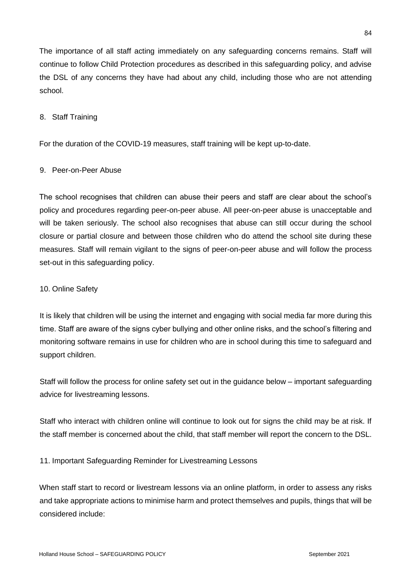The importance of all staff acting immediately on any safeguarding concerns remains. Staff will continue to follow Child Protection procedures as described in this safeguarding policy, and advise the DSL of any concerns they have had about any child, including those who are not attending school.

### 8. Staff Training

For the duration of the COVID-19 measures, staff training will be kept up-to-date.

### 9. Peer-on-Peer Abuse

The school recognises that children can abuse their peers and staff are clear about the school's policy and procedures regarding peer-on-peer abuse. All peer-on-peer abuse is unacceptable and will be taken seriously. The school also recognises that abuse can still occur during the school closure or partial closure and between those children who do attend the school site during these measures. Staff will remain vigilant to the signs of peer-on-peer abuse and will follow the process set-out in this safeguarding policy.

### 10. Online Safety

It is likely that children will be using the internet and engaging with social media far more during this time. Staff are aware of the signs cyber bullying and other online risks, and the school's filtering and monitoring software remains in use for children who are in school during this time to safeguard and support children.

Staff will follow the process for online safety set out in the guidance below – important safeguarding advice for livestreaming lessons.

Staff who interact with children online will continue to look out for signs the child may be at risk. If the staff member is concerned about the child, that staff member will report the concern to the DSL.

11. Important Safeguarding Reminder for Livestreaming Lessons

When staff start to record or livestream lessons via an online platform, in order to assess any risks and take appropriate actions to minimise harm and protect themselves and pupils, things that will be considered include: